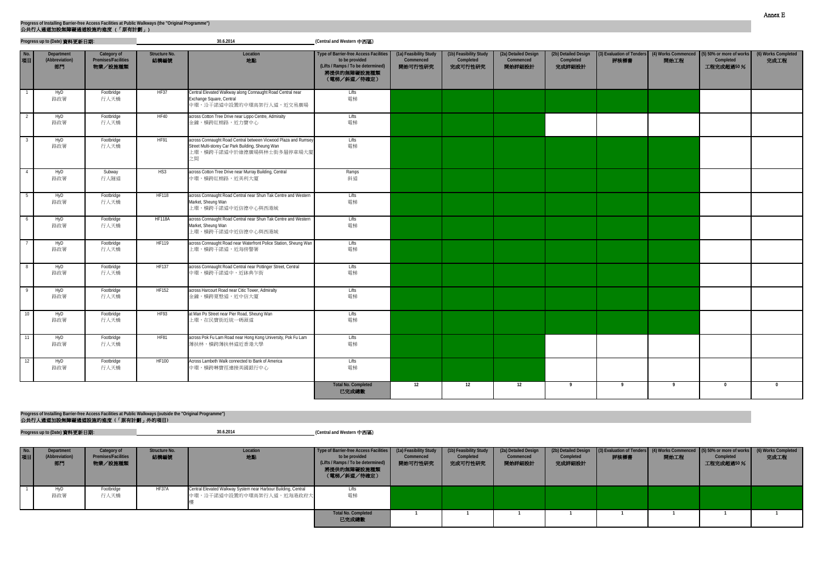|                | Progress up to (Date) 資料更新日期:      |                                               |                       | 30.6.2014                                                                                                                                              | (Central and Western 中西區)                                                                                                           |                                                |                                                |                                             |                                             |      |      |                                                                                                  |                             |
|----------------|------------------------------------|-----------------------------------------------|-----------------------|--------------------------------------------------------------------------------------------------------------------------------------------------------|-------------------------------------------------------------------------------------------------------------------------------------|------------------------------------------------|------------------------------------------------|---------------------------------------------|---------------------------------------------|------|------|--------------------------------------------------------------------------------------------------|-----------------------------|
| No.<br>項目      | Department<br>(Abbreviation)<br>部門 | Category of<br>Premises/Facilities<br>物業/設施種類 | Structure No.<br>結構編號 | Location<br>地點                                                                                                                                         | <b>Type of Barrier-free Access Facilities</b><br>to be provided<br>(Lifts / Ramps / To be determined)<br>將提供的無障礙設施種類<br>(電梯/斜道/待確定) | (1a) Feasibility Study<br>Commenced<br>開始可行性研究 | (1b) Feasibility Study<br>Completed<br>完成可行性研究 | (2a) Detailed Design<br>Commenced<br>開始詳細設計 | (2b) Detailed Design<br>Completed<br>完成詳細設計 | 評核標書 | 開始工程 | (3) Evaluation of Tenders (4) Works Commenced (5) 50% or more of works<br>Completed<br>工程完成超過50% | (6) Works Completed<br>完成工程 |
|                | HyD<br>路政署                         | Footbridge<br>行人天橋                            | HF37                  | Central Elevated Walkway along Connaught Road Central near<br>Exchange Square, Central<br>中環,沿干諾道中設置的中環高架行人道,近交易廣場                                     | Lifts<br>電梯                                                                                                                         |                                                |                                                |                                             |                                             |      |      |                                                                                                  |                             |
|                | HyD<br>路政署                         | Footbridge<br>行人天橋                            | <b>HF40</b>           | across Cotton Tree Drive near Lippo Centre, Admiralty<br>金鐘,橫跨紅棉路,近力寶中心                                                                                | Lifts<br>電梯                                                                                                                         |                                                |                                                |                                             |                                             |      |      |                                                                                                  |                             |
|                | HyD<br>路政署                         | Footbridge<br>行人天橋                            | <b>HF91</b>           | across Connaught Road Central between Vicwood Plaza and Rumsey<br>Street Multi-storey Car Park Building, Sheung Wan<br>上環,橫跨干諾道中於維德廣場與林士街多層停車場大廈<br>之間 | Lifts<br>電梯                                                                                                                         |                                                |                                                |                                             |                                             |      |      |                                                                                                  |                             |
|                | HyD<br>路政署                         | Subway<br>行人隧道                                | HS3                   | across Cotton Tree Drive near Murray Building, Central<br>中環,橫跨紅棉路,近美利大廈                                                                               | Ramps<br>斜道                                                                                                                         |                                                |                                                |                                             |                                             |      |      |                                                                                                  |                             |
| 5              | HyD<br>路政署                         | Footbridge<br>行人天橋                            | <b>HF118</b>          | across Connaught Road Central near Shun Tak Centre and Western<br>Market, Sheung Wan<br>上環,橫跨干諾道中近信德中心與西港城                                             | Lifts<br>電梯                                                                                                                         |                                                |                                                |                                             |                                             |      |      |                                                                                                  |                             |
| 6              | HyD<br>路政署                         | Footbridge<br>行人天橋                            | <b>HF118A</b>         | across Connaught Road Central near Shun Tak Centre and Western<br>Market, Sheung Wan<br>上環,橫跨干諾道中近信德中心與西港城                                             | Lifts<br>電梯                                                                                                                         |                                                |                                                |                                             |                                             |      |      |                                                                                                  |                             |
|                | HyD<br>路政署                         | Footbridge<br>行人天橋                            | <b>HF119</b>          | across Connaught Road near Waterfront Police Station, Sheung Wan<br>上環,橫跨干諾道,近海傍警署                                                                     | Lifts<br>電梯                                                                                                                         |                                                |                                                |                                             |                                             |      |      |                                                                                                  |                             |
| 8              | HyD<br>路政署                         | Footbridge<br>行人天橋                            | <b>HF137</b>          | across Connaught Road Central near Pottinger Street, Central<br>中環,橫跨干諾道中,近砵典乍街                                                                        | Lifts<br>電梯                                                                                                                         |                                                |                                                |                                             |                                             |      |      |                                                                                                  |                             |
| $\overline{9}$ | HyD<br>路政署                         | Footbridge<br>行人天橋                            | <b>HF152</b>          | across Harcourt Road near Citic Tower, Admiralty<br>金鐘,橫跨夏慤道,近中信大廈                                                                                     | Lifts<br>電梯                                                                                                                         |                                                |                                                |                                             |                                             |      |      |                                                                                                  |                             |
| 10             | HyD<br>路政署                         | Footbridge<br>行人天橋                            | <b>HF93</b>           | at Man Po Street near Pier Road, Sheung Wan<br>上環,在民寶街近統一碼頭道                                                                                           | Lifts<br>電梯                                                                                                                         |                                                |                                                |                                             |                                             |      |      |                                                                                                  |                             |
| - 11           | HyD<br>路政署                         | Footbridge<br>行人天橋                            | <b>HF81</b>           | across Pok Fu Lam Road near Hong Kong University, Pok Fu Lam<br>薄扶林,横跨薄扶林道近香港大學                                                                        | Lifts<br>電梯                                                                                                                         |                                                |                                                |                                             |                                             |      |      |                                                                                                  |                             |
| 12             | HyD<br>路政署                         | Footbridge<br>行人天橋                            | <b>HF100</b>          | Across Lambeth Walk connected to Bank of America<br>中環,橫跨琳寶徑連接美國銀行中心                                                                                   | Lifts<br>電梯                                                                                                                         |                                                |                                                |                                             |                                             |      |      |                                                                                                  |                             |
|                |                                    |                                               |                       |                                                                                                                                                        | <b>Total No. Completed</b><br>已完成總數                                                                                                 | 12                                             | 12                                             | 12                                          | - 9                                         | - 9  | - 9  | $\bf{0}$                                                                                         | $\mathbf{0}$                |

**Progress up to (Date)** 資料更新日期**: (Central and Western** 中西區**) 30.6.2014**

| No.<br>項目 | Department<br>(Abbreviation)<br>部門 | Category of<br><b>Premises/Facilities</b><br>物業/設施種類 | Structure No.<br>結構編號 | Location<br>地點                                                                              | Type of Barrier-free Access Facilities (1a) Feasibility Study<br>to be provided<br>(Lifts / Ramps / To be determined)<br>將提供的無障礙設施種類<br>(電梯/斜道/待確定) | Commenced<br>開始可行性研究 | (1b) Feasibility Study<br>Completed<br>完成可行性研究 | (2a) Detailed Design<br>Commenced<br>開始詳細設計 | Completed<br>完成詳細設計 | 評核標書 | (2b) Detailed Design (3) Evaluation of Tenders (4) Works Commenced (5) 50% or more of works<br>開始工程 | Completed<br>工程完成超過50 % | (6) Works Completed<br>完成工程 |
|-----------|------------------------------------|------------------------------------------------------|-----------------------|---------------------------------------------------------------------------------------------|-----------------------------------------------------------------------------------------------------------------------------------------------------|----------------------|------------------------------------------------|---------------------------------------------|---------------------|------|-----------------------------------------------------------------------------------------------------|-------------------------|-----------------------------|
|           | 路政署                                | Footbridge<br>行人天橋                                   | HF37A                 | Central Elevated Walkway System near Harbour Building, Central<br>中環,沿干諾道中設置的中環高架行人道,近海港政府大 | Litts<br>電梯                                                                                                                                         |                      |                                                |                                             |                     |      |                                                                                                     |                         |                             |
|           |                                    |                                                      |                       |                                                                                             | <b>Total No. Completed</b><br>已完成總數                                                                                                                 |                      |                                                |                                             |                     |      |                                                                                                     |                         |                             |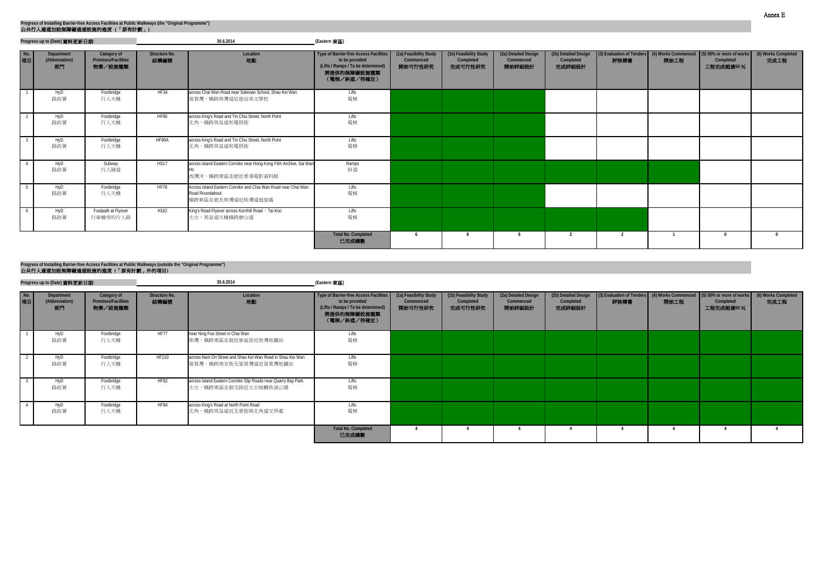|              | Progress up to (Date) 資料更新日期:      |                                                      |                       | 30.6.2014                                                                                              | (Eastern 東區)                                                                                                                 |                                                |                                                |                                             |                                             |                |      |                                                                                                  |                             |
|--------------|------------------------------------|------------------------------------------------------|-----------------------|--------------------------------------------------------------------------------------------------------|------------------------------------------------------------------------------------------------------------------------------|------------------------------------------------|------------------------------------------------|---------------------------------------------|---------------------------------------------|----------------|------|--------------------------------------------------------------------------------------------------|-----------------------------|
| $N$ o.<br>項目 | Department<br>(Abbreviation)<br>部門 | Category of<br><b>Premises/Facilities</b><br>物業/設施種類 | Structure No.<br>結構編號 | Location<br>地點                                                                                         | Type of Barrier-free Access Facilities<br>to be provided<br>(Lifts / Ramps / To be determined)<br>將提供的無障礙設施種類<br>(電梯/斜道/待確定) | (1a) Feasibility Study<br>Commenced<br>開始可行性研究 | (1b) Feasibility Study<br>Completed<br>完成可行性研究 | (2a) Detailed Design<br>Commenced<br>開始詳細設計 | (2b) Detailed Design<br>Completed<br>完成詳細設計 | 評核標書           | 開始工程 | (3) Evaluation of Tenders (4) Works Commenced (5) 50% or more of works<br>Completed<br>工程完成超過50% | (6) Works Completed<br>完成工程 |
|              | HyD<br>路政署                         | Footbridge<br>行人天橋                                   | <b>HF34</b>           | across Chai Wan Road near Salesian School, Shau Kei Wan<br><b>筲箕灣, 横跨柴灣道近慈幼英文學校</b>                    | Lifts<br>電梯                                                                                                                  |                                                |                                                |                                             |                                             |                |      |                                                                                                  |                             |
|              | HyD<br>路政署                         | Footbridge<br>行人天橋                                   | <b>HF90</b>           | across King's Road and Tin Chiu Street, North Point<br>北角, 横跨英皇道和電照街                                   | Lifts<br>電梯                                                                                                                  |                                                |                                                |                                             |                                             |                |      |                                                                                                  |                             |
|              | HyD<br>路政署                         | Footbridge<br>行人天橋                                   | HF90A                 | across King's Road and Tin Chiu Street, North Point<br>北角,横跨英皇道和電照街                                    | Lifts<br>電梯                                                                                                                  |                                                |                                                |                                             |                                             |                |      |                                                                                                  |                             |
|              | HyD<br>路政署                         | Subway<br>行人隧道                                       | <b>HS17</b>           | across Island Eastern Corridor near Hong Kong Film Archive, Sai Wan<br>西灣河,橫跨東區走廊近香港電影資料館              | Ramps<br>斜道                                                                                                                  |                                                |                                                |                                             |                                             |                |      |                                                                                                  |                             |
|              | HyD<br>路政署                         | Footbridge<br>行人天橋                                   | HF78                  | Across Island Eastern Corridor and Chai Wan Road near Chai Wan<br>Road Roundabout<br>横跨東區走廊及柴灣道近柴灣道迴旋處 | Lifts<br>電梯                                                                                                                  |                                                |                                                |                                             |                                             |                |      |                                                                                                  |                             |
|              | HyD<br>路政署                         | Footpath at Flyover<br>行車橋旁的行人路                      | H162                  | King's Road Flyover across Kornhill Road, Tai Koo<br>太古,英皇道天橋橫跨康山道                                     | Lifts<br>電梯                                                                                                                  |                                                |                                                |                                             |                                             |                |      |                                                                                                  |                             |
|              |                                    |                                                      |                       |                                                                                                        | <b>Total No. Completed</b><br>已完成總數                                                                                          |                                                |                                                | -6                                          | 2                                           | $\overline{2}$ |      |                                                                                                  |                             |

|           | Progress up to (Date) 資料更新日期:      |                                                      |                              | 30.6.2014                                                                                  | (Eastern 東區)                                                                                                                                        |                      |                                                |                                             |                                             |                                                                                |      |                        |                             |
|-----------|------------------------------------|------------------------------------------------------|------------------------------|--------------------------------------------------------------------------------------------|-----------------------------------------------------------------------------------------------------------------------------------------------------|----------------------|------------------------------------------------|---------------------------------------------|---------------------------------------------|--------------------------------------------------------------------------------|------|------------------------|-----------------------------|
| No.<br>項目 | Department<br>(Abbreviation)<br>部門 | Category of<br><b>Premises/Facilities</b><br>物業/設施種類 | <b>Structure No.</b><br>結構編號 | Location<br>地點                                                                             | Type of Barrier-free Access Facilities (1a) Feasibility Study<br>to be provided<br>(Lifts / Ramps / To be determined)<br>將提供的無障礙設施種類<br>(電梯/斜道/待確定) | Commenced<br>開始可行性研究 | (1b) Feasibility Study<br>Completed<br>完成可行性研究 | (2a) Detailed Design<br>Commenced<br>開始詳細設計 | (2b) Detailed Design<br>Completed<br>完成詳細設計 | (3) Evaluation of Tenders (4) Works Commenced (5) 50% or more of works<br>評核標書 | 開始工程 | Completed<br>工程完成超過50% | (6) Works Completed<br>完成工程 |
|           | HyD<br>路政署                         | Footbridge<br>行人天橋                                   | <b>HF77</b>                  | near Ning Foo Street in Chai Wan<br>柴灣,橫跨東區走廊近寧富街近柴灣地鐵站                                    | Lifts<br>電梯                                                                                                                                         |                      |                                                |                                             |                                             |                                                                                |      |                        |                             |
|           | HyD<br>路政署                         | Footbridge<br>行人天橋                                   | <b>HF110</b>                 | across Nam On Street and Shau Kei Wan Road in Shau Kei Wan<br><b>筲箕灣,横跨南安街及筲箕灣道近筲箕灣地鐵站</b> | Lifts<br>電梯                                                                                                                                         |                      |                                                |                                             |                                             |                                                                                |      |                        |                             |
|           | HyD<br>路政署                         | Footbridge<br>行人天橋                                   | <b>HF82</b>                  | across Island Eastern Corridor Slip Roads near Quarry Bay Park<br>太古,横跨東區走廊支路近太古城鰂魚涌公園     | Lifts<br>電梯                                                                                                                                         |                      |                                                |                                             |                                             |                                                                                |      |                        |                             |
|           | HyD<br>路政署                         | Footbridge<br>行人天橋                                   | <b>HF84</b>                  | across King's Road at North Point Road<br>北角,横跨英皇道近北景街與北角道交界處                              | Lifts<br>電梯                                                                                                                                         |                      |                                                |                                             |                                             |                                                                                |      |                        |                             |
|           |                                    |                                                      |                              |                                                                                            | <b>Total No. Completed</b><br>已完成總數                                                                                                                 |                      |                                                |                                             |                                             |                                                                                |      |                        |                             |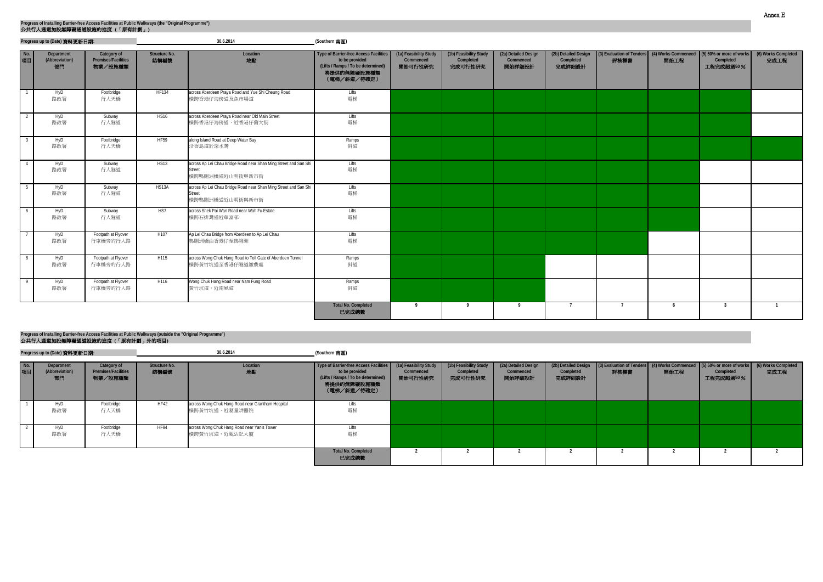|           | Progress up to (Date) 資料更新日期:      |                                               |                              | 30.6.2014                                                                                     | (Southern 南區)                                                                                                                       |                                                |                                                |                                             |                                             |                |      |                                                                                                  |                             |
|-----------|------------------------------------|-----------------------------------------------|------------------------------|-----------------------------------------------------------------------------------------------|-------------------------------------------------------------------------------------------------------------------------------------|------------------------------------------------|------------------------------------------------|---------------------------------------------|---------------------------------------------|----------------|------|--------------------------------------------------------------------------------------------------|-----------------------------|
| No.<br>項目 | Department<br>(Abbreviation)<br>部門 | Category of<br>Premises/Facilities<br>物業/設施種類 | <b>Structure No.</b><br>結構編號 | Location<br>地點                                                                                | <b>Type of Barrier-free Access Facilities</b><br>to be provided<br>(Lifts / Ramps / To be determined)<br>將提供的無障礙設施種類<br>(電梯/斜道/待確定) | (1a) Feasibility Study<br>Commenced<br>開始可行性研究 | (1b) Feasibility Study<br>Completed<br>完成可行性研究 | (2a) Detailed Design<br>Commenced<br>開始詳細設計 | (2b) Detailed Design<br>Completed<br>完成詳細設計 | 評核標書           | 開始工程 | (3) Evaluation of Tenders (4) Works Commenced (5) 50% or more of works<br>Completed<br>工程完成超過50% | (6) Works Completed<br>完成工程 |
|           | HyD<br>路政署                         | Footbridge<br>行人天橋                            | <b>HF134</b>                 | across Aberdeen Praya Road and Yue Shi Cheung Road<br>横跨香港仔海傍道及魚市場道                           | Lifts<br>電梯                                                                                                                         |                                                |                                                |                                             |                                             |                |      |                                                                                                  |                             |
|           | HyD<br>路政署                         | Subway<br>行人隧道                                | <b>HS16</b>                  | across Aberdeen Praya Road near Old Main Street<br>横跨香港仔海傍道,近香港仔舊大街                           | Lifts<br>電梯                                                                                                                         |                                                |                                                |                                             |                                             |                |      |                                                                                                  |                             |
|           | HyD<br>路政署                         | Footbridge<br>行人天橋                            | <b>HF59</b>                  | along Island Road at Deep Water Bay<br>沿香島道於深水灣                                               | Ramps<br>斜道                                                                                                                         |                                                |                                                |                                             |                                             |                |      |                                                                                                  |                             |
|           | HyD<br>路政署                         | Subway<br>行人隧道                                | HS13                         | across Ap Lei Chau Bridge Road near Shan Ming Street and San Shi<br>Street<br>横跨鴨脷洲橋道近山明街與新市街 | Lifts<br>電梯                                                                                                                         |                                                |                                                |                                             |                                             |                |      |                                                                                                  |                             |
|           | HyD<br>路政署                         | Subway<br>行人隧道                                | HS13A                        | across Ap Lei Chau Bridge Road near Shan Ming Street and San Shi<br>Street<br>横跨鴨脷洲橋道近山明街與新市街 | <b>Lifts</b><br>電梯                                                                                                                  |                                                |                                                |                                             |                                             |                |      |                                                                                                  |                             |
| 6         | HyD<br>路政署                         | Subway<br>行人隧道                                | HS7                          | across Shek Pai Wan Road near Wah Fu Estate<br>横跨石排灣道近華富邨                                     | Lifts<br>電梯                                                                                                                         |                                                |                                                |                                             |                                             |                |      |                                                                                                  |                             |
|           | HyD<br>路政署                         | Footpath at Flyover<br>行車橋旁的行人路               | H <sub>107</sub>             | Ap Lei Chau Bridge from Aberdeen to Ap Lei Chau<br>鴨脷洲橋由香港仔至鴨脷洲                               | Lifts<br>電梯                                                                                                                         |                                                |                                                |                                             |                                             |                |      |                                                                                                  |                             |
| 8         | HyD<br>路政署                         | Footpath at Flyover<br>行車橋旁的行人路               | H115                         | across Wong Chuk Hang Road to Toll Gate of Aberdeen Tunnel<br>横跨黄竹坑道至香港仔隧道繳費處                 | Ramps<br>斜道                                                                                                                         |                                                |                                                |                                             |                                             |                |      |                                                                                                  |                             |
|           | HyD<br>路政署                         | Footpath at Flyover<br>行車橋旁的行人路               | H116                         | Wong Chuk Hang Road near Nam Fung Road<br>黃竹坑道,近南風道                                           | Ramps<br>斜道                                                                                                                         |                                                |                                                |                                             |                                             |                |      |                                                                                                  |                             |
|           |                                    |                                               |                              |                                                                                               | <b>Total No. Completed</b><br>已完成總數                                                                                                 | - 9                                            |                                                | <b>q</b>                                    | $\overline{7}$                              | $\overline{7}$ | 6    | 3                                                                                                |                             |

|           | Progress up to (Date) 資料更新日期:      |                                                      |                       | 30.6.2014                                                          | (Southern 南區)                                                                                                                                       |                      |                                                |                                             |                                             |                                                                                |      |                        |                             |
|-----------|------------------------------------|------------------------------------------------------|-----------------------|--------------------------------------------------------------------|-----------------------------------------------------------------------------------------------------------------------------------------------------|----------------------|------------------------------------------------|---------------------------------------------|---------------------------------------------|--------------------------------------------------------------------------------|------|------------------------|-----------------------------|
| No.<br>項目 | Department<br>(Abbreviation)<br>部門 | Category of<br><b>Premises/Facilities</b><br>物業/設施種類 | Structure No.<br>結構編號 | Location<br>地點                                                     | Type of Barrier-free Access Facilities (1a) Feasibility Study<br>to be provided<br>(Lifts / Ramps / To be determined)<br>將提供的無障礙設施種類<br>(電梯/斜道/待確定) | Commenced<br>開始可行性研究 | (1b) Feasibility Study<br>Completed<br>完成可行性研究 | (2a) Detailed Design<br>Commenced<br>開始詳細設計 | (2b) Detailed Design<br>Completed<br>完成詳細設計 | (3) Evaluation of Tenders (4) Works Commenced (5) 50% or more of works<br>評核標書 | 開始工程 | Completed<br>工程完成超過50% | (6) Works Completed<br>完成工程 |
|           | HyD<br>路政署                         | Footbridge<br>行人天橋                                   | <b>HF42</b>           | across Wong Chuk Hang Road near Grantham Hospital<br>横跨黃竹坑道,近葛量洪醫院 | Lifts<br>電梯                                                                                                                                         |                      |                                                |                                             |                                             |                                                                                |      |                        |                             |
|           | HyD<br>路政署                         | Footbridge<br>行人天橋                                   | <b>HF94</b>           | across Wong Chuk Hang Road near Yan's Tower<br>横跨黃竹坑道,近甄沾記大廈       | Lifts<br>電梯                                                                                                                                         |                      |                                                |                                             |                                             |                                                                                |      |                        |                             |
|           |                                    |                                                      |                       |                                                                    | <b>Total No. Completed</b><br>已完成總數                                                                                                                 |                      |                                                |                                             |                                             |                                                                                |      |                        |                             |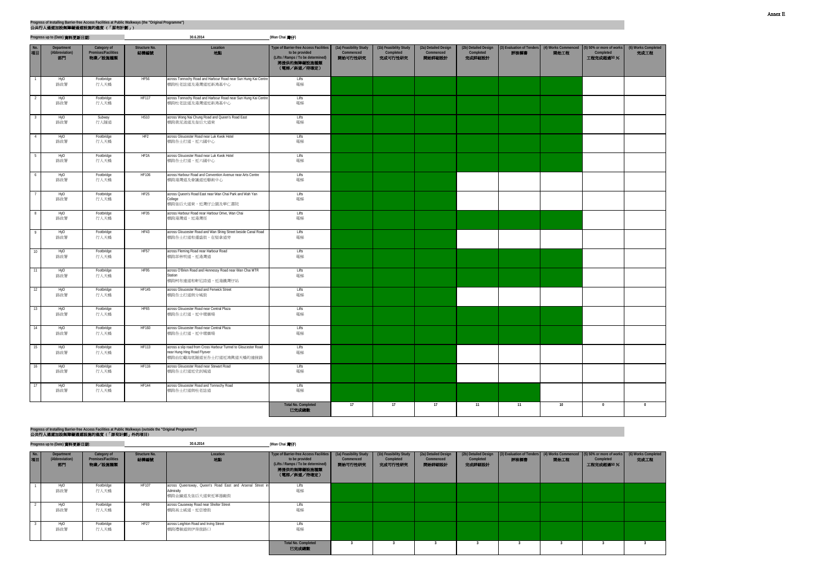|                 | Progress up to (Date) 資料更新日期:      |                                               |                       | 30.6.2014                                                                                                                  | (Wan Chai 灣仔)                                                                                                                       |                                                |                                                |                                             |                                             |                                   |      |                                                                        |                             |
|-----------------|------------------------------------|-----------------------------------------------|-----------------------|----------------------------------------------------------------------------------------------------------------------------|-------------------------------------------------------------------------------------------------------------------------------------|------------------------------------------------|------------------------------------------------|---------------------------------------------|---------------------------------------------|-----------------------------------|------|------------------------------------------------------------------------|-----------------------------|
| No.<br>項目       | Department<br>(Abbreviation)<br>部門 | Category of<br>Premises/Facilities<br>物業/設施種類 | Structure No.<br>結構編號 | Location<br>地點                                                                                                             | <b>Type of Barrier-free Access Facilities</b><br>to be provided<br>(Lifts / Ramps / To be determined)<br>將提供的無障礙設施種類<br>(電梯/斜道/待確定) | (1a) Feasibility Study<br>Commenced<br>開始可行性研究 | (1b) Feasibility Study<br>Completed<br>完成可行性研究 | (2a) Detailed Design<br>Commenced<br>開始詳細設計 | (2b) Detailed Design<br>Completed<br>完成詳細設計 | (3) Evaluation of Tenders<br>評核標書 | 開始工程 | (4) Works Commenced (5) 50% or more of works<br>Completed<br>工程完成超過50% | (6) Works Completed<br>完成工程 |
| $\overline{1}$  | HyD<br>路政署                         | Footbridge<br>行人天橋                            | HF56                  | across Tonnochy Road and Harbour Road near Sun Hung Kai Centre<br>横跨杜老誌道及港灣道近新鴻基中心                                         | Lifts<br>電梯                                                                                                                         |                                                |                                                |                                             |                                             |                                   |      |                                                                        |                             |
| $\overline{2}$  | HyD<br>路政署                         | Footbridge<br>行人天橋                            | <b>HF117</b>          | across Tonnochy Road and Harbour Road near Sun Hung Kai Centre<br>横跨杜老誌道及港灣道近新鴻基中心                                         | Lifts<br>電梯                                                                                                                         |                                                |                                                |                                             |                                             |                                   |      |                                                                        |                             |
| $\overline{3}$  | HyD<br>路政署                         | Subway<br>行人隧道                                | <b>HS10</b>           | across Wong Nai Chung Road and Queen's Road East<br>横跨黃泥涌道及皇后大道東                                                           | Lifts<br>電梯                                                                                                                         |                                                |                                                |                                             |                                             |                                   |      |                                                                        |                             |
| $\sqrt{4}$      | HyD<br>路政署                         | Footbridge<br>行人天橋                            | HF2                   | across Gloucester Road near Luk Kwok Hotel<br>横跨告士打道,近六國中心                                                                 | Lifts<br>電梯                                                                                                                         |                                                |                                                |                                             |                                             |                                   |      |                                                                        |                             |
| $5 -$           | HyD<br>路政署                         | Footbridge<br>行人天橋                            | HF <sub>2</sub> A     | across Gloucester Road near Luk Kwok Hotel<br>横跨告士打道,近六國中心                                                                 | Lifts<br>電梯                                                                                                                         |                                                |                                                |                                             |                                             |                                   |      |                                                                        |                             |
| 6               | HyD<br>路政署                         | Footbridge<br>行人天橋                            | <b>HF106</b>          | across Harbour Road and Convention Avenue near Arts Centre<br>横跨港灣道及會議道近藝術中心                                               | Lifts<br>電梯                                                                                                                         |                                                |                                                |                                             |                                             |                                   |      |                                                                        |                             |
| $7\phantom{.0}$ | HyD<br>路政署                         | Footbridge<br>行人天橋                            | HF <sub>25</sub>      | across Queen's Road East near Wan Chai Park and Wah Yan<br>College<br>横跨皇后大道東,近灣仔公園及華仁書院                                   | Lifts<br>電梯                                                                                                                         |                                                |                                                |                                             |                                             |                                   |      |                                                                        |                             |
| 8               | HyD<br>路政署                         | Footbridge<br>行人天橋                            | HF35                  | across Harbour Road near Harbour Drive, Wan Chai<br>横跨港灣道,近港灣徑                                                             | Lifts<br>電梯                                                                                                                         |                                                |                                                |                                             |                                             |                                   |      |                                                                        |                             |
| 9               | HyD<br>路政署                         | Footbridge<br>行人天橋                            | HF43                  | across Gloucester Road and Wan Shing Street beside Canal Road<br>横跨告士打道和運盛街,在堅拿道旁                                          | Lifts<br>電梯                                                                                                                         |                                                |                                                |                                             |                                             |                                   |      |                                                                        |                             |
| 10              | HyD<br>路政署                         | Footbridge<br>行人天橋                            | <b>HF57</b>           | across Fleming Road near Harbour Road<br>横跨菲林明道,近港灣道                                                                       | Lifts<br>電梯                                                                                                                         |                                                |                                                |                                             |                                             |                                   |      |                                                                        |                             |
| 11              | HyD<br>路政署                         | Footbridge<br>行人天橋                            | HF95                  | across O'Brien Road and Hennessy Road near Wan Chai MTR<br>Station<br>横跨柯布連道和軒尼詩道,近港鐵灣仔站                                   | Lifts<br>電梯                                                                                                                         |                                                |                                                |                                             |                                             |                                   |      |                                                                        |                             |
| 12              | HyD<br>路政署                         | Footbridge<br>行人天橋                            | <b>HF145</b>          | across Gloucester Road and Fenwick Street<br>横跨告士打道與分域街                                                                    | Lifts<br>電梯                                                                                                                         |                                                |                                                |                                             |                                             |                                   |      |                                                                        |                             |
| 13              | HyD<br>路政署                         | Footbridge<br>行人天橋                            | HF65                  | across Gloucester Road near Central Plaza<br>横跨告士打道,近中環廣場                                                                  | Lifts<br>電梯                                                                                                                         |                                                |                                                |                                             |                                             |                                   |      |                                                                        |                             |
| 14              | HyD<br>路政署                         | Footbridge<br>行人天橋                            | HF160                 | across Gloucester Road near Central Plaza<br>横跨告士打道,近中環廣場                                                                  | Lifts<br>電梯                                                                                                                         |                                                |                                                |                                             |                                             |                                   |      |                                                                        |                             |
| 15              | HyD<br>路政署                         | Footbridge<br>行人天橋                            | <b>HF113</b>          | across a slip road from Cross Harbour Tunnel to Gloucester Road<br>near Hung Hing Road Flyover<br>横跨由紅磡海底隧道至告士打道近鴻興道天橋的連接路 | Lifts<br>電梯                                                                                                                         |                                                |                                                |                                             |                                             |                                   |      |                                                                        |                             |
| 16              | HyD<br>路政署                         | Footbridge<br>行人天橋                            | <b>HF116</b>          | across Gloucester Road near Stewart Road<br>横跨告士打道近史釗域道                                                                    | Lifts<br>電梯                                                                                                                         |                                                |                                                |                                             |                                             |                                   |      |                                                                        |                             |
| 17              | HyD<br>路政署                         | Footbridge<br>行人天橋                            | <b>HF144</b>          | across Gloucester Road and Tonnochy Road<br>横跨告士打道與杜老誌道                                                                    | Lifts<br>電梯                                                                                                                         |                                                |                                                |                                             |                                             |                                   |      |                                                                        |                             |
|                 |                                    |                                               |                       |                                                                                                                            | <b>Total No. Completed</b><br>已完成總數                                                                                                 | 17                                             | 17                                             | 17                                          | 11                                          | 11                                | 10   | $\bf{0}$                                                               | $\mathbf{0}$                |

**Progress up to (Date)** 資料更新日期**: (Wan Chai** 灣仔**)**

| No.<br>項目 | Department<br>(Abbreviation)<br>部門 | Category of<br><b>Premises/Facilities</b><br>物業/設施種類 | Structure No.<br>結構編號 | Location<br>地點                                                                             | Type of Barrier-free Access Facilities (1a) Feasibility Study<br>to be provided<br>(Lifts / Ramps / To be determined)<br>將提供的無障礙設施種類<br>(電梯/斜道/待確定) | Commenced<br>開始可行性研究 | (1b) Feasibility Study<br>Completed<br>完成可行性研究 | (2a) Detailed Design<br>Commenced<br>開始詳細設計 | Completed<br>完成詳細設計 | (2b) Detailed Design (3) Evaluation of Tenders (4) Works Commenced (5) 50% or more of works<br>評核標書 | 開始工程 | Completed<br>工程完成超過50% | $(6)$ Works<br>完成 |
|-----------|------------------------------------|------------------------------------------------------|-----------------------|--------------------------------------------------------------------------------------------|-----------------------------------------------------------------------------------------------------------------------------------------------------|----------------------|------------------------------------------------|---------------------------------------------|---------------------|-----------------------------------------------------------------------------------------------------|------|------------------------|-------------------|
|           | HyD<br>路政署                         | Footbridge<br>行人天橋                                   | <b>HF107</b>          | across Queensway, Queen's Road East and Arsenal Street in<br>Admiralty<br>横跨金鐘道及皇后大道東近軍器廠街 | Lifts<br>電梯                                                                                                                                         |                      |                                                |                                             |                     |                                                                                                     |      |                        |                   |
|           | HyD<br>路政署                         | Footbridge<br>行人天橋                                   | <b>HF69</b>           | across Causeway Road near Shelter Street<br>横跨高士威道,近信德街                                    | Lifts<br>電梯                                                                                                                                         |                      |                                                |                                             |                     |                                                                                                     |      |                        |                   |
|           | HyD<br>路政署                         | Footbridge<br>行人天橋                                   | <b>HF27</b>           | across Leighton Road and Irving Street<br>横跨禮頓道與伊榮街路口                                      | Lifts<br>電梯                                                                                                                                         |                      |                                                |                                             |                     |                                                                                                     |      |                        |                   |
|           |                                    |                                                      |                       |                                                                                            | <b>Total No. Completed</b><br>已完成總數                                                                                                                 |                      |                                                |                                             |                     |                                                                                                     |      |                        |                   |

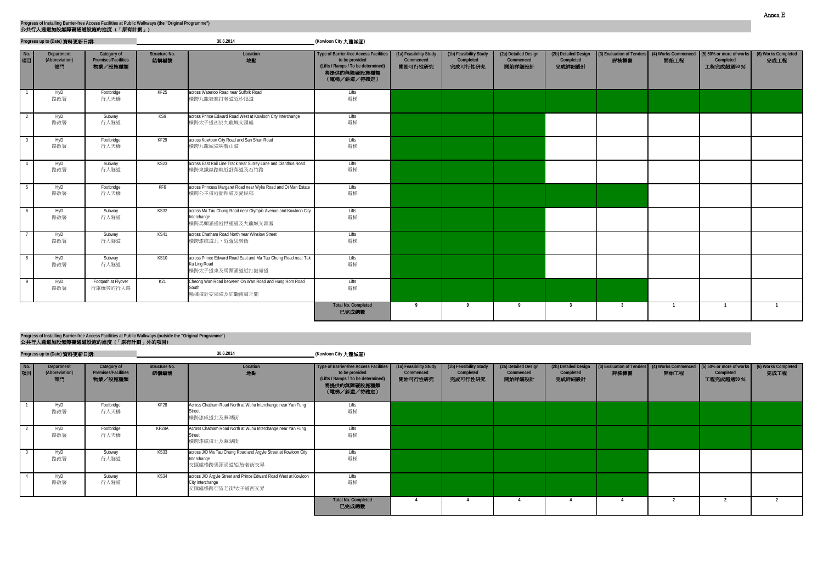|           | Progress up to (Date) 資料更新日期:      |                                               |                       | 30.6.2014                                                                                         | (Kowloon City 九龍城區)                                                                                                                 |                                                |                                                |                                             |                                             |      |      |                                                                                                  |                             |
|-----------|------------------------------------|-----------------------------------------------|-----------------------|---------------------------------------------------------------------------------------------------|-------------------------------------------------------------------------------------------------------------------------------------|------------------------------------------------|------------------------------------------------|---------------------------------------------|---------------------------------------------|------|------|--------------------------------------------------------------------------------------------------|-----------------------------|
| No.<br>項目 | Department<br>(Abbreviation)<br>部門 | Category of<br>Premises/Facilities<br>物業/設施種類 | Structure No.<br>結構編號 | Location<br>地點                                                                                    | <b>Type of Barrier-free Access Facilities</b><br>to be provided<br>(Lifts / Ramps / To be determined)<br>將提供的無障礙設施種類<br>(電梯/斜道/待確定) | (1a) Feasibility Study<br>Commenced<br>開始可行性研究 | (1b) Feasibility Study<br>Completed<br>完成可行性研究 | (2a) Detailed Design<br>Commenced<br>開始詳細設計 | (2b) Detailed Design<br>Completed<br>完成詳細設計 | 評核標書 | 開始工程 | (3) Evaluation of Tenders (4) Works Commenced (5) 50% or more of works<br>Completed<br>工程完成超過50% | (6) Works Completed<br>完成工程 |
|           | HyD<br>路政署                         | Footbridge<br>行人天橋                            | KF25                  | across Waterloo Road near Suffolk Road<br>横跨九龍塘窩打老道近沙福道                                           | Lifts<br>電梯                                                                                                                         |                                                |                                                |                                             |                                             |      |      |                                                                                                  |                             |
|           | HyD<br>路政署                         | Subway<br>行人隧道                                | KS9                   | across Prince Edward Road West at Kowloon City Interchange<br>横跨太子道西於九龍城交匯處                       | Lifts<br>電梯                                                                                                                         |                                                |                                                |                                             |                                             |      |      |                                                                                                  |                             |
|           | HyD<br>路政署                         | Footbridge<br>行人天橋                            | KF29                  | across Kowloon City Road and San Shan Road<br>横跨九龍城道與新山道                                          | Lifts<br>電梯                                                                                                                         |                                                |                                                |                                             |                                             |      |      |                                                                                                  |                             |
|           | HyD<br>路政署                         | Subway<br>行人隧道                                | KS23                  | across East Rail Line Track near Surrey Lane and Dianthus Road<br>横跨東鐵線路軌近舒梨道及石竹路                 | Lifts<br>電梯                                                                                                                         |                                                |                                                |                                             |                                             |      |      |                                                                                                  |                             |
|           | HyD<br>路政署                         | Footbridge<br>行人天橋                            | KF6                   | across Princess Margaret Road near Wylie Road and Oi Man Estate<br>横跨公主道近衞理道及愛民邨                  | Lifts<br>電梯                                                                                                                         |                                                |                                                |                                             |                                             |      |      |                                                                                                  |                             |
| 6         | HyD<br>路政署                         | Subway<br>行人隧道                                | <b>KS32</b>           | across Ma Tau Chung Road near Olympic Avenue and Kowloon City<br>Interchange<br>横跨馬頭涌道近世運道及九龍城交匯處 | Lifts<br>電梯                                                                                                                         |                                                |                                                |                                             |                                             |      |      |                                                                                                  |                             |
|           | HyD<br>路政署                         | Subway<br>行人隧道                                | KS41                  | across Chatham Road North near Winslow Street<br>横跨漆咸道北,近温思勞街                                     | Lifts<br>電梯                                                                                                                         |                                                |                                                |                                             |                                             |      |      |                                                                                                  |                             |
| - 8       | HyD<br>路政署                         | Subway<br>行人隧道                                | KS10                  | across Prince Edward Road East and Ma Tau Chung Road near Tak<br>Ku Ling Road<br>横跨太子道東及馬頭涌道近打鼓嶺道 | <b>Lifts</b><br>電梯                                                                                                                  |                                                |                                                |                                             |                                             |      |      |                                                                                                  |                             |
|           | HyD<br>路政署                         | Footpath at Flyover<br>行車橋旁的行人路               | K21                   | Cheong Wan Road between On Wan Road and Hung Hom Road<br>South<br>暢運道於安運道及紅磡南道之間                  | Lifts<br>電梯                                                                                                                         |                                                |                                                |                                             |                                             |      |      |                                                                                                  |                             |
|           |                                    |                                               |                       |                                                                                                   | <b>Total No. Completed</b><br>已完成總數                                                                                                 | $\overline{9}$                                 |                                                | $\mathbf{q}$                                | $\overline{3}$                              |      |      |                                                                                                  |                             |

|              | Progress up to (Date) 資料更新日期:      |                                                      |                              | 30.6.2014                                                                                               | (Kowloon City 九龍城區)                                                                                                          |                                                |                                                |                                             |                                             |                                                                                |      |                        |                             |
|--------------|------------------------------------|------------------------------------------------------|------------------------------|---------------------------------------------------------------------------------------------------------|------------------------------------------------------------------------------------------------------------------------------|------------------------------------------------|------------------------------------------------|---------------------------------------------|---------------------------------------------|--------------------------------------------------------------------------------|------|------------------------|-----------------------------|
| $N$ o.<br>項目 | Department<br>(Abbreviation)<br>部門 | Category of<br><b>Premises/Facilities</b><br>物業/設施種類 | <b>Structure No.</b><br>結構編號 | Location<br>地點                                                                                          | Type of Barrier-free Access Facilities<br>to be provided<br>(Lifts / Ramps / To be determined)<br>將提供的無障礙設施種類<br>(電梯/斜道/待確定) | (1a) Feasibility Study<br>Commenced<br>開始可行性研究 | (1b) Feasibility Study<br>Completed<br>完成可行性研究 | (2a) Detailed Design<br>Commenced<br>開始詳細設計 | (2b) Detailed Design<br>Completed<br>完成詳細設計 | (3) Evaluation of Tenders (4) Works Commenced (5) 50% or more of works<br>評核標書 | 開始工程 | Completed<br>工程完成超過50% | (6) Works Completed<br>完成工程 |
|              | HyD<br>路政署                         | Footbridge<br>行人天橋                                   | KF28                         | Across Chatham Road North at Wuhu Interchange near Yan Fung<br><b>Street</b><br>横跨漆咸道北及蕪湖街              | Lifts<br>電梯                                                                                                                  |                                                |                                                |                                             |                                             |                                                                                |      |                        |                             |
|              | HyD<br>路政署                         | Footbridge<br>行人天橋                                   | KF28A                        | Across Chatham Road North at Wuhu Interchange near Yan Fung<br><b>Street</b><br>横跨漆咸道北及蕪湖街              | Lifts<br>電梯                                                                                                                  |                                                |                                                |                                             |                                             |                                                                                |      |                        |                             |
|              | HyD<br>路政署                         | Subway<br>行人隧道                                       | <b>KS33</b>                  | across J/O Ma Tau Chung Road and Argyle Street at Kowloon City<br>Interchange<br>交匯處橫跨馬頭涌道/亞皆老街交界       | Lifts<br>電梯                                                                                                                  |                                                |                                                |                                             |                                             |                                                                                |      |                        |                             |
|              | HyD<br>路政署                         | Subway<br>行人隧道                                       | KS34                         | across J/O Argyle Street and Prince Edward Road West at Kowloon<br>City Interchange<br>交匯處橫跨亞皆老街/太子道西交界 | Lifts<br>電梯                                                                                                                  |                                                |                                                |                                             |                                             |                                                                                |      |                        |                             |
|              |                                    |                                                      |                              |                                                                                                         | <b>Total No. Completed</b><br>已完成總數                                                                                          |                                                |                                                |                                             |                                             |                                                                                |      |                        |                             |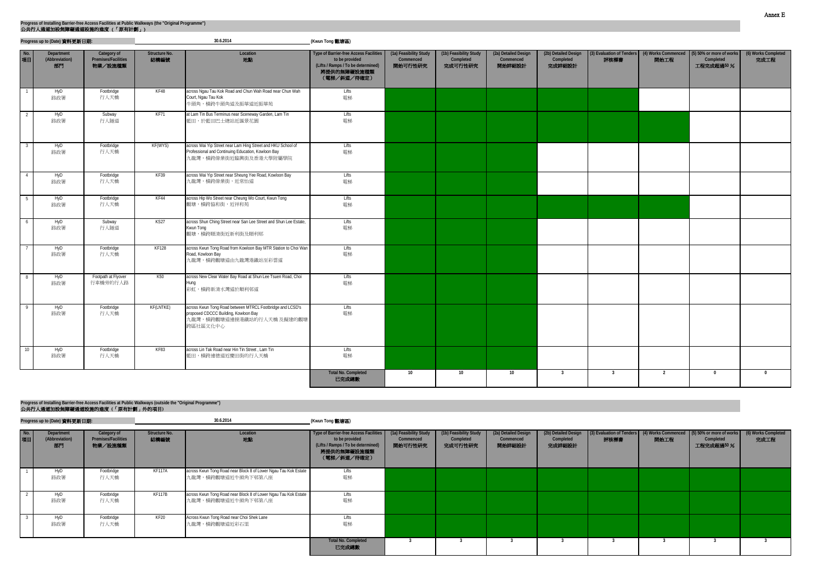|                 | Progress up to (Date) 資料更新日期:      |                                               |                              | 30.6.2014                                                                                                                                    | (Kwun Tong 觀塘區)                                                                                                                     |                                                |                                                |                                             |                                             |                         |                                                       |                                                    |                             |
|-----------------|------------------------------------|-----------------------------------------------|------------------------------|----------------------------------------------------------------------------------------------------------------------------------------------|-------------------------------------------------------------------------------------------------------------------------------------|------------------------------------------------|------------------------------------------------|---------------------------------------------|---------------------------------------------|-------------------------|-------------------------------------------------------|----------------------------------------------------|-----------------------------|
| No.<br>項目       | Department<br>(Abbreviation)<br>部門 | Category of<br>Premises/Facilities<br>物業/設施種類 | <b>Structure No.</b><br>結構編號 | Location<br>地點                                                                                                                               | <b>Type of Barrier-free Access Facilities</b><br>to be provided<br>(Lifts / Ramps / To be determined)<br>將提供的無障礙設施種類<br>(電梯/斜道/待確定) | (1a) Feasibility Study<br>Commenced<br>開始可行性研究 | (1b) Feasibility Study<br>Completed<br>完成可行性研究 | (2a) Detailed Design<br>Commenced<br>開始詳細設計 | (2b) Detailed Design<br>Completed<br>完成詳細設計 | 評核標書                    | (3) Evaluation of Tenders (4) Works Commenced<br>開始工程 | (5) 50% or more of works<br>Completed<br>工程完成超過50% | (6) Works Completed<br>完成工程 |
| $\overline{1}$  | HyD<br>路政署                         | Footbridge<br>行人天橋                            | KF48                         | across Ngau Tau Kok Road and Chun Wah Road near Chun Wah<br>Court, Ngau Tau Kok<br>牛頭角,橫跨牛頭角道及振華道近振華苑                                        | Lifts<br>電梯                                                                                                                         |                                                |                                                |                                             |                                             |                         |                                                       |                                                    |                             |
| $\overline{2}$  | HyD<br>路政署                         | Subway<br>行人隧道                                | KF71                         | at Lam Tin Bus Terminus near Sceneway Garden, Lam Tin<br>藍田,於藍田巴士總站近匯景花園                                                                     | Lifts<br>電梯                                                                                                                         |                                                |                                                |                                             |                                             |                         |                                                       |                                                    |                             |
|                 | HyD<br>路政署                         | Footbridge<br>行人天橋                            | KF(WYS)                      | across Wai Yip Street near Lam Hing Street and HKU School of<br>Professional and Continuing Education, Kowloon Bay<br>九龍灣,橫跨偉業街近臨興街及香港大學附屬學院 | Lifts<br>電梯                                                                                                                         |                                                |                                                |                                             |                                             |                         |                                                       |                                                    |                             |
| $\overline{4}$  | HyD<br>路政署                         | Footbridge<br>行人天橋                            | KF39                         | across Wai Yip Street near Sheung Yee Road, Kowloon Bay<br>九龍灣,橫跨偉業街,近常怡道                                                                    | Lifts<br>電梯                                                                                                                         |                                                |                                                |                                             |                                             |                         |                                                       |                                                    |                             |
| $5\phantom{.0}$ | HyD<br>路政署                         | Footbridge<br>行人天橋                            | KF44                         | across Hip Wo Street near Cheung Wo Court, Kwun Tong<br>觀塘,橫跨協和街,近祥和苑                                                                        | Lifts<br>電梯                                                                                                                         |                                                |                                                |                                             |                                             |                         |                                                       |                                                    |                             |
| 6               | HyD<br>路政署                         | Subway<br>行人隧道                                | KS27                         | across Shun Ching Street near San Lee Street and Shun Lee Estate,<br>Kwun Tong<br>觀塘,橫跨順清街近新利街及順利邨                                           | Lifts<br>電梯                                                                                                                         |                                                |                                                |                                             |                                             |                         |                                                       |                                                    |                             |
|                 | HyD<br>路政署                         | Footbridge<br>行人天橋                            | KF128                        | across Kwun Tong Road from Kowloon Bay MTR Station to Choi Wan<br>Road, Kowloon Bay<br>九龍灣,橫跨觀塘道由九龍灣港鐵站至彩雲道                                  | Lifts<br>電梯                                                                                                                         |                                                |                                                |                                             |                                             |                         |                                                       |                                                    |                             |
|                 | HyD<br>路政署                         | Footpath at Flyover<br>行車橋旁的行人路               | K50                          | across New Clear Water Bay Road at Shun Lee Tsuen Road, Choi<br>Hung<br>彩虹,横跨新清水灣道於順利邨道                                                      | Lifts<br>電梯                                                                                                                         |                                                |                                                |                                             |                                             |                         |                                                       |                                                    |                             |
|                 | HyD<br>路政署                         | Footbridge<br>行人天橋                            | KF(LNTKE)                    | across Kwun Tong Road between MTRCL Footbridge and LCSD's<br>proposed CDCCC Building, Kowloon Bay<br>九龍灣,橫跨觀塘道連接港鐵站的行人天橋 及擬建的觀塘<br>跨區社區文化中心  | Lifts<br>電梯                                                                                                                         |                                                |                                                |                                             |                                             |                         |                                                       |                                                    |                             |
| $\overline{10}$ | HyD<br>路政署                         | Footbridge<br>行人天橋                            | KF83                         | across Lin Tak Road near Hin Tin Street, Lam Tin<br>藍田,橫跨連德道近慶田街的行人天橋                                                                        | Lifts<br>電梯                                                                                                                         |                                                |                                                |                                             |                                             |                         |                                                       |                                                    |                             |
|                 |                                    |                                               |                              |                                                                                                                                              | <b>Total No. Completed</b><br>已完成總數                                                                                                 | 10                                             | 10                                             | 10                                          | $\overline{\mathbf{3}}$                     | $\overline{\mathbf{3}}$ | $\overline{2}$                                        | $\mathbf{0}$                                       | $\bf{0}$                    |

**Progress up to (Date)** 資料更新日期**: (Kwun Tong** 觀塘區**)**

## 公共行人通道加設無障礙通道設施的進度 **(**「原有計劃」外的項目**) Progress of Installing Barrier-free Access Facilities at Public Walkways (outside the "Original Programme")**

| No.<br>項目 | Department<br>(Abbreviation)<br>部門 | Category of<br><b>Premises/Facilities</b><br>物業/設施種類 | Structure No.<br>結構編號 | Location<br>地點                                                                        | Type of Barrier-free Access Facilities   (1a) Feasibility Study<br>to be provided<br>(Lifts / Ramps / To be determined)<br>將提供的無障礙設施種類<br>(電梯/斜道/待確定) | Commenced<br>開始可行性研究 | (1b) Feasibility Study<br>Completed<br>完成可行性研究 | (2a) Detailed Design<br>Commenced<br>開始詳細設計 | (2b) Detailed Design<br>Completed<br>完成詳細設計 | 評核標書 | 開始工程 | (3) Evaluation of Tenders (4) Works Commenced (5) 50% or more of works<br>Completed<br>工程完成超過50% | (6) Works Completed<br>完成工程 |
|-----------|------------------------------------|------------------------------------------------------|-----------------------|---------------------------------------------------------------------------------------|-------------------------------------------------------------------------------------------------------------------------------------------------------|----------------------|------------------------------------------------|---------------------------------------------|---------------------------------------------|------|------|--------------------------------------------------------------------------------------------------|-----------------------------|
|           | HyD<br>路政署                         | Footbridge<br>行人天橋                                   | KF117A                | across Kwun Tong Road near Block 8 of Lower Ngau Tau Kok Estate<br>九龍灣,橫跨觀塘道近牛頭角下邨第八座 | Lifts<br>電梯                                                                                                                                           |                      |                                                |                                             |                                             |      |      |                                                                                                  |                             |
|           | HyD<br>路政署                         | Footbridge<br>行人天橋                                   | KF117B                | across Kwun Tong Road near Block 8 of Lower Ngau Tau Kok Estate<br>九龍灣,橫跨觀塘道近牛頭角下邨第八座 | Lifts<br>電梯                                                                                                                                           |                      |                                                |                                             |                                             |      |      |                                                                                                  |                             |
|           | HyD<br>路政署                         | Footbridge<br>行人天橋                                   | KF20                  | Across Kwun Tong Road near Choi Shek Lane<br>九龍灣,橫跨觀塘道近彩石里                            | Lifts<br>電梯                                                                                                                                           |                      |                                                |                                             |                                             |      |      |                                                                                                  |                             |
|           |                                    |                                                      |                       |                                                                                       | <b>Total No. Completed</b><br>已完成總數                                                                                                                   |                      |                                                |                                             |                                             |      |      |                                                                                                  |                             |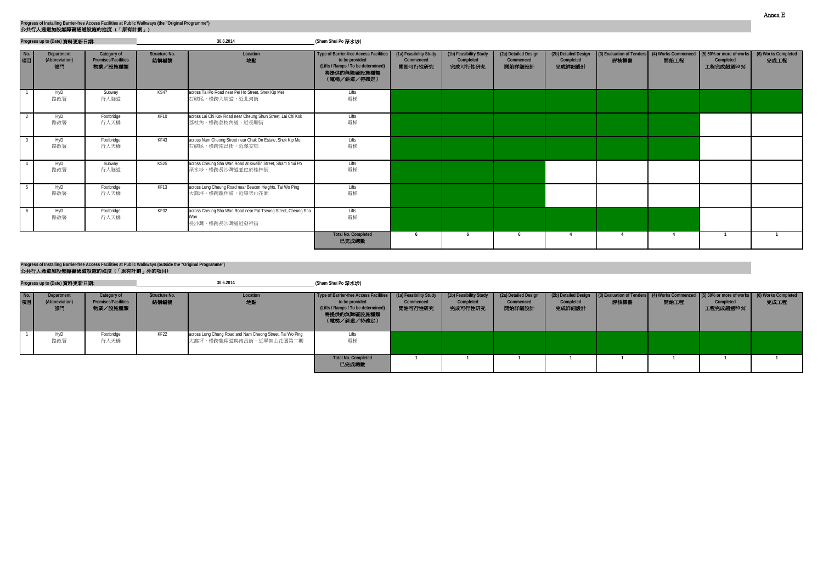|           | Progress up to (Date) 資料更新日期:      |                                                      |                       | 30.6.2014                                                                              | (Sham Shui Po 深水埗)                                                                                                           |                                                |                                                |                                             |                                             |                |      |                                                                                                  |                             |
|-----------|------------------------------------|------------------------------------------------------|-----------------------|----------------------------------------------------------------------------------------|------------------------------------------------------------------------------------------------------------------------------|------------------------------------------------|------------------------------------------------|---------------------------------------------|---------------------------------------------|----------------|------|--------------------------------------------------------------------------------------------------|-----------------------------|
| No.<br>項目 | Department<br>(Abbreviation)<br>部門 | Category of<br><b>Premises/Facilities</b><br>物業/設施種類 | Structure No.<br>結構編號 | Location<br>地點                                                                         | Type of Barrier-free Access Facilities<br>to be provided<br>(Lifts / Ramps / To be determined)<br>將提供的無障礙設施種類<br>(電梯/斜道/待確定) | (1a) Feasibility Study<br>Commenced<br>開始可行性研究 | (1b) Feasibility Study<br>Completed<br>完成可行性研究 | (2a) Detailed Design<br>Commenced<br>開始詳細設計 | (2b) Detailed Design<br>Completed<br>完成詳細設計 | 評核標書           | 開始工程 | (3) Evaluation of Tenders (4) Works Commenced (5) 50% or more of works<br>Completed<br>工程完成超過50% | (6) Works Completed<br>完成工程 |
|           | HyD<br>路政署                         | Subway<br>行人隧道                                       | KS47                  | across Tai Po Road near Pei Ho Street, Shek Kip Mei<br>石硤尾,横跨大埔道,近北河街                  | Lifts<br>電梯                                                                                                                  |                                                |                                                |                                             |                                             |                |      |                                                                                                  |                             |
|           | HyD<br>路政署                         | Footbridge<br>行人天橋                                   | KF10                  | across Lai Chi Kok Road near Cheung Shun Street, Lai Chi Kok<br>荔枝角,横跨荔枝角道,近長順街        | Lifts<br>電梯                                                                                                                  |                                                |                                                |                                             |                                             |                |      |                                                                                                  |                             |
|           | HyD<br>路政署                         | Footbridge<br>行人天橋                                   | KF43                  | across Nam Cheong Street near Chak On Estate, Shek Kip Mei<br>石硤尾,横跨南昌街,近澤安邨           | Lifts<br>電梯                                                                                                                  |                                                |                                                |                                             |                                             |                |      |                                                                                                  |                             |
|           | HyD<br>路政署                         | Subway<br>行人隧道                                       | KS25                  | across Cheung Sha Wan Road at Kweilin Street, Sham Shui Po<br>深水埗,横跨長沙灣道並位於桂林街         | Lifts<br>電梯                                                                                                                  |                                                |                                                |                                             |                                             |                |      |                                                                                                  |                             |
|           | HyD<br>路政署                         | Footbridge<br>行人天橋                                   | KF13                  | across Lung Cheung Road near Beacon Heights, Tai Wo Ping<br>大窩坪,橫跨龍翔道,近畢架山花園           | Lifts<br>電梯                                                                                                                  |                                                |                                                |                                             |                                             |                |      |                                                                                                  |                             |
|           | HyD<br>路政署                         | Footbridge<br>行人天橋                                   | KF32                  | across Cheung Sha Wan Road near Fat Tseung Street, Cheung Sha<br>Wan<br>長沙灣,横跨長沙灣道近發祥街 | Lifts<br>電梯                                                                                                                  |                                                |                                                |                                             |                                             |                |      |                                                                                                  |                             |
|           |                                    |                                                      |                       |                                                                                        | <b>Total No. Completed</b><br>已完成總數                                                                                          |                                                |                                                | - 6                                         | $\overline{4}$                              | $\overline{4}$ |      |                                                                                                  |                             |

|              | Progress up to (Date) 資料更新日期:      |                                                      |                       | 30.6.2014                                                                            | (Sham Shui Po 深水埗)                                                                                                                                      |                      |                                                |                                             |                                             |      |      |                                                                                                            |    |
|--------------|------------------------------------|------------------------------------------------------|-----------------------|--------------------------------------------------------------------------------------|---------------------------------------------------------------------------------------------------------------------------------------------------------|----------------------|------------------------------------------------|---------------------------------------------|---------------------------------------------|------|------|------------------------------------------------------------------------------------------------------------|----|
| $N$ o.<br>項目 | Department<br>(Abbreviation)<br>部門 | Category of<br><b>Premises/Facilities</b><br>物業/設施種類 | Structure No.<br>結構編號 | Location<br>地點                                                                       | Type of Barrier-free Access Facilities   (1a) Feasibility Study  <br>to be provided<br>(Lifts / Ramps / To be determined)<br>將提供的無障礙設施種類<br>(電梯/斜道/待確定) | Commenced<br>開始可行性研究 | (1b) Feasibility Study<br>Completed<br>完成可行性研究 | (2a) Detailed Design<br>Commenced<br>開始詳細設計 | (2b) Detailed Design<br>Completed<br>完成詳細設計 | 評核標書 | 開始工程 | 3) Evaluation of Tenders (4) Works Commenced (5) 50% or more of works (6) Works<br>Completed<br>工程完成超過50 % | 完成 |
|              | HyD<br>路政署                         | Footbridge<br>行人天橋                                   | KF22                  | across Lung Chung Road and Nam Cheong Street, Tai Wo Ping<br>大窩坪,橫跨龍翔道與南昌街,近畢架山花園第二期 | Litts<br>電梯                                                                                                                                             |                      |                                                |                                             |                                             |      |      |                                                                                                            |    |
|              |                                    |                                                      |                       |                                                                                      | <b>Total No. Completed</b><br>已完成總數                                                                                                                     |                      |                                                |                                             |                                             |      |      |                                                                                                            |    |

**(6) Works Completed** 完成工程 **(3) of Tenders (4) Works Commenced** 開始工程 **(5) 50% or more of works Completed** 工程完成超過**50** %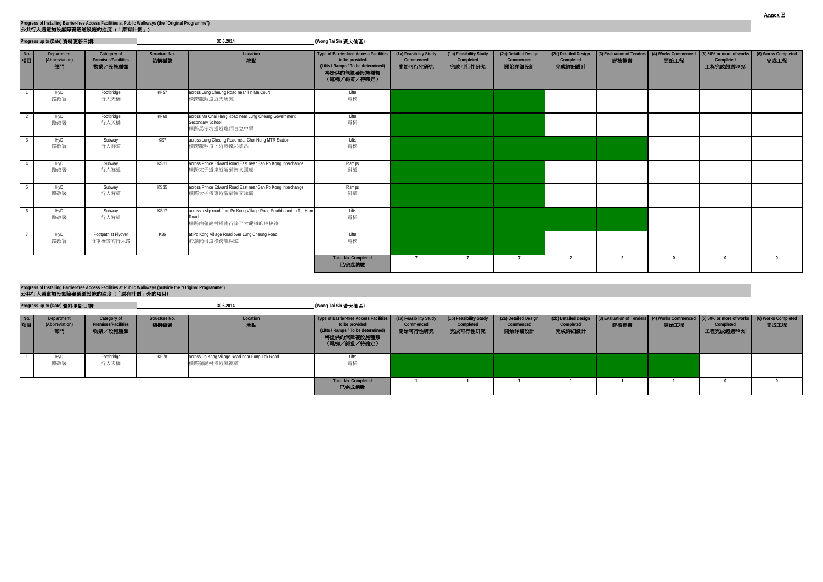|           | Progress up to (Date) 資料更新日期:      |                                               |                              | 30.6.2014                                                                                        | (Wong Tai Sin 黃大仙區)                                                                                                                 |                                                |                                                |                                             |                                             |      |          |                                                                                                 |                             |
|-----------|------------------------------------|-----------------------------------------------|------------------------------|--------------------------------------------------------------------------------------------------|-------------------------------------------------------------------------------------------------------------------------------------|------------------------------------------------|------------------------------------------------|---------------------------------------------|---------------------------------------------|------|----------|-------------------------------------------------------------------------------------------------|-----------------------------|
| No.<br>項目 | Department<br>(Abbreviation)<br>部門 | Category of<br>Premises/Facilities<br>物業/設施種類 | <b>Structure No.</b><br>結構編號 | Location<br>地點                                                                                   | <b>Type of Barrier-free Access Facilities</b><br>to be provided<br>(Lifts / Ramps / To be determined)<br>將提供的無障礙設施種類<br>(電梯/斜道/待確定) | (1a) Feasibility Study<br>Commenced<br>開始可行性研究 | (1b) Feasibility Study<br>Completed<br>完成可行性研究 | (2a) Detailed Design<br>Commenced<br>開始詳細設計 | (2b) Detailed Design<br>Completed<br>完成詳細設計 | 評核標書 | 開始工程     | 3) Evaluation of Tenders (4) Works Commenced (5) 50% or more of works<br>Completed<br>工程完成超過50% | (6) Works Completed<br>完成工程 |
|           | HyD<br>路政署                         | Footbridge<br>行人天橋                            | KF57                         | across Lung Cheung Road near Tin Ma Court<br>横跨龍翔道近天馬苑                                           | Lifts<br>電梯                                                                                                                         |                                                |                                                |                                             |                                             |      |          |                                                                                                 |                             |
|           | HyD<br>路政署                         | Footbridge<br>行人天橋                            | <b>KF60</b>                  | across Ma Chai Hang Road near Lung Cheung Government<br>Secondary School<br>横跨馬仔坑道近龍翔官立中學        | Lifts<br>電梯                                                                                                                         |                                                |                                                |                                             |                                             |      |          |                                                                                                 |                             |
|           | HyD<br>路政署                         | Subway<br>行人隧道                                | KS7                          | across Lung Cheung Road near Choi Hung MTR Station<br>横跨龍翔道,近港鐵彩虹站                               | Lifts<br>電梯                                                                                                                         |                                                |                                                |                                             |                                             |      |          |                                                                                                 |                             |
|           | HyD<br>路政署                         | Subway<br>行人隧道                                | <b>KS11</b>                  | across Prince Edward Road East near San Po Kong Interchange<br>横跨太子道東近新蒲崗交匯處                     | Ramps<br>斜道                                                                                                                         |                                                |                                                |                                             |                                             |      |          |                                                                                                 |                             |
|           | HyD<br>路政署                         | Subway<br>行人隧道                                | KS35                         | across Prince Edward Road East near San Po Kong Interchange<br>横跨太子道東近新蒲崗交匯處                     | Ramps<br>斜道                                                                                                                         |                                                |                                                |                                             |                                             |      |          |                                                                                                 |                             |
|           | HyD<br>路政署                         | Subway<br>行人隧道                                | KS17                         | across a slip road from Po Kong Village Road Southbound to Tai Hom<br>Road<br>横跨由蒲崗村道南行線至大磡道的連接路 | Lifts<br>電梯                                                                                                                         |                                                |                                                |                                             |                                             |      |          |                                                                                                 |                             |
|           | HyD<br>路政署                         | Footpath at Flyover<br>行車橋旁的行人路               | K36                          | at Po Kong Village Road over Lung Cheung Road<br>於蒲崗村道橫跨龍翔道                                      | Lifts<br>電梯                                                                                                                         |                                                |                                                |                                             |                                             |      |          |                                                                                                 |                             |
|           |                                    |                                               |                              |                                                                                                  | <b>Total No. Completed</b><br>已完成總數                                                                                                 |                                                |                                                | $\overline{7}$                              | $\overline{2}$                              | 2    | $\bf{0}$ | $\Omega$                                                                                        | $\mathsf{n}$                |

**Total No. Completed** 已完成總數

## 公共行人通道加設無障礙通道設施的進度 **(**「原有計劃」外的項目**) Progress of Installing Barrier-free Access Facilities at Public Walkways (outside the "Original Programme")**

|           | Progress up to (Date) 資料更新日期:      |                                                      |                       | 30.6.2014                                                    | (Wong Tai Sin 黃大仙區)                                                                                                          |                                                |                                                |                                             |
|-----------|------------------------------------|------------------------------------------------------|-----------------------|--------------------------------------------------------------|------------------------------------------------------------------------------------------------------------------------------|------------------------------------------------|------------------------------------------------|---------------------------------------------|
| No.<br>項目 | Department<br>(Abbreviation)<br>部門 | Category of<br><b>Premises/Facilities</b><br>物業/設施種類 | Structure No.<br>結構編號 | Location<br>地點                                               | Type of Barrier-free Access Facilities<br>to be provided<br>(Lifts / Ramps / To be determined)<br>將提供的無障礙設施種類<br>(電梯/斜道/待確定) | (1a) Feasibility Study<br>Commenced<br>開始可行性研究 | (1b) Feasibility Study<br>Completed<br>完成可行性研究 | (2a) Detailed Design<br>Commenced<br>開始詳細設計 |
|           | HyD<br>路政署                         | Footbridge<br>行人天橋                                   | KF78                  | across Po Kong Village Road near Fung Tak Road<br>橫跨蒲崗村道近鳳德道 | Lifts<br>電梯                                                                                                                  |                                                |                                                |                                             |

| bility Study<br>nenced<br>行性研究 | (1b) Feasibility Study<br>Completed<br>完成可行性研究 | (2a) Detailed Design<br>Commenced<br>開始詳細設計 | (2b) Detailed Design<br>Completed<br>完成詳細設計 | (3) Evaluation of Tenders<br>評核標書 | (4) Works Commenced<br>開始工程 | $(5)$ 50% or more of works<br>Completed<br>工程完成超過50% | (6) Works Completed<br>完成工程 |
|--------------------------------|------------------------------------------------|---------------------------------------------|---------------------------------------------|-----------------------------------|-----------------------------|------------------------------------------------------|-----------------------------|
|                                |                                                |                                             |                                             |                                   |                             |                                                      |                             |
|                                |                                                |                                             |                                             |                                   |                             |                                                      | $\mathbf{0}$                |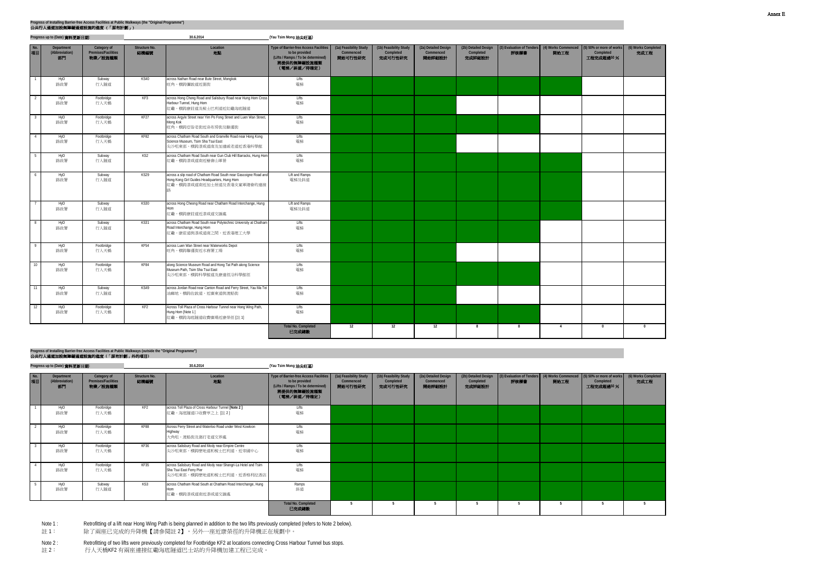|                         | Progress up to (Date) 資料更新日期:      |                                               |                       | 30.6.2014                                                                                                                                     | (Yau Tsim Mong 油尖旺區)                                                                                                         |                                                |                                                |                                             |                                             |                                   |                             |                                                     |                             |
|-------------------------|------------------------------------|-----------------------------------------------|-----------------------|-----------------------------------------------------------------------------------------------------------------------------------------------|------------------------------------------------------------------------------------------------------------------------------|------------------------------------------------|------------------------------------------------|---------------------------------------------|---------------------------------------------|-----------------------------------|-----------------------------|-----------------------------------------------------|-----------------------------|
| No.<br>項目               | Department<br>(Abbreviation)<br>部門 | Category of<br>Premises/Facilities<br>物業/設施種類 | Structure No.<br>結構編號 | Location<br>地點                                                                                                                                | Type of Barrier-free Access Facilities<br>to be provided<br>(Lifts / Ramps / To be determined)<br>將提供的無障礙設施種類<br>(電梯/斜道/待確定) | (1a) Feasibility Study<br>Commenced<br>開始可行性研究 | (1b) Feasibility Study<br>Completed<br>完成可行性研究 | (2a) Detailed Design<br>Commenced<br>開始詳細設計 | (2b) Detailed Design<br>Completed<br>完成詳細設計 | (3) Evaluation of Tenders<br>評核標書 | (4) Works Commenced<br>開始工程 | (5) 50% or more of works<br>Completed<br>工程完成超過50 % | (6) Works Completed<br>完成工程 |
| $\overline{1}$          | HyD<br>路政署                         | Subway<br>行人隧道                                | <b>KS40</b>           | across Nathan Road near Bute Street, Mongkok<br>旺角,横跨彌敦道近弼街                                                                                   | Lifts<br>電梯                                                                                                                  |                                                |                                                |                                             |                                             |                                   |                             |                                                     |                             |
| 2                       | HyD<br>路政署                         | Footbridge<br>行人天橋                            | KF3                   | across Hong Chong Road and Salisbury Road near Hung Hom Cross<br>Harbour Tunnel, Hung Hom<br>紅磡,橫跨康莊道及梳士巴利道近紅磡海底隧道                            | Lifts<br>電梯                                                                                                                  |                                                |                                                |                                             |                                             |                                   |                             |                                                     |                             |
| $\overline{\mathbf{3}}$ | HyD<br>路政署                         | Footbridge<br>行人天橋                            | KF <sub>27</sub>      | across Argyle Street near Yim Po Fong Street and Luen Wan Street,<br>Mong Kok<br>旺角,横跨亞皆老街近染布房街及聯運街                                           | Lifts<br>電梯                                                                                                                  |                                                |                                                |                                             |                                             |                                   |                             |                                                     |                             |
| $\overline{4}$          | HyD<br>路政署                         | Footbridge<br>行人天橋                            | KF82                  | across Chatham Road South and Granville Road near Hong Kong<br>Science Museum, Tsim Sha Tsui East<br>尖沙咀東部,橫跨漆咸道南及加連威老道近香港科學館                 | Lifts<br>電梯                                                                                                                  |                                                |                                                |                                             |                                             |                                   |                             |                                                     |                             |
| 5                       | HyD<br>路政署                         | Subway<br>行人隧道                                | KS <sub>2</sub>       | across Chatham Road South near Gun Club Hill Barracks, Hung Hom<br>紅磡,橫跨漆咸道南近槍會山軍營                                                            | Lifts<br>電梯                                                                                                                  |                                                |                                                |                                             |                                             |                                   |                             |                                                     |                             |
| 6                       | HyD<br>路政署                         | Subway<br>行人隧道                                | <b>KS29</b>           | across a slip road of Chatham Road South near Gascoigne Road and<br>Hong Kong Girl Guides Headquarters, Hung Hom<br>紅磡,橫跨漆咸道南近加士居道及香港女童軍總會的連接 | Lift and Ramps<br>電梯及斜道                                                                                                      |                                                |                                                |                                             |                                             |                                   |                             |                                                     |                             |
| $\overline{7}$          | HyD<br>路政署                         | Subway<br>行人隧道                                | <b>KS30</b>           | across Hong Cheong Road near Chatham Road Interchange, Hung<br>Hom<br>紅磡,橫跨康莊道近漆咸道交匯處                                                         | Lift and Ramps<br>電梯及斜道                                                                                                      |                                                |                                                |                                             |                                             |                                   |                             |                                                     |                             |
| 8                       | HyD<br>路政署                         | Subway<br>行人隧道                                | <b>KS31</b>           | across Chatham Road South near Polytechnic University at Chatham<br>Road Interchange, Hung Hom<br>紅磡,康莊道與漆咸道南之間,近香港理工大學                       | Lifts<br>電梯                                                                                                                  |                                                |                                                |                                             |                                             |                                   |                             |                                                     |                             |
| $\overline{9}$          | HyD<br>路政署                         | Footbridge<br>行人天橋                            | KF <sub>54</sub>      | across Luen Wan Street near Waterworks Depot<br>旺角,横跨聯運街近水務署工場                                                                                | Lifts<br>電梯                                                                                                                  |                                                |                                                |                                             |                                             |                                   |                             |                                                     |                             |
| 10                      | HyD<br>路政署                         | Footbridge<br>行人天橋                            | KF84                  | along Science Museum Road and Hong Tat Path along Science<br>Museum Path, Tsim Sha Tsui East<br>尖沙咀東部,橫跨科學館道及康達徑沿科學館徑                         | Lifts<br>電梯                                                                                                                  |                                                |                                                |                                             |                                             |                                   |                             |                                                     |                             |
| 11                      | HyD<br>路政署                         | Subway<br>行人隧道                                | <b>KS49</b>           | across Jordan Road near Canton Road and Ferry Street, Yau Ma Tei<br>油麻地,横跨佐敦道,近廣東道與渡船街                                                        | Lifts<br>電梯                                                                                                                  |                                                |                                                |                                             |                                             |                                   |                             |                                                     |                             |
| 12                      | HyD<br>路政署                         | Footbridge<br>行人天橋                            | KF <sub>2</sub>       | Across Toll Plaza of Cross Harbour Tunnel near Hong Wing Path,<br>Hung Hom [Note 1]<br>紅磡,橫跨海底隧道收費廣場近康榮徑 [註1]                                 | Lifts<br>電梯                                                                                                                  |                                                |                                                |                                             |                                             |                                   |                             |                                                     |                             |
|                         |                                    |                                               |                       |                                                                                                                                               | <b>Total No. Completed</b><br>已完成總數                                                                                          | 12                                             | 12                                             | 12                                          | 8                                           | - 8                               | $\overline{4}$              | $\mathbf{0}$                                        | $\Omega$                    |

**Progress up to (Date)** 資料更新日期**: (Yau Tsim Mong** 油尖旺區**)**



| No.<br>項目 | Department<br>(Abbreviation)<br>部門 | Category of<br><b>Premises/Facilities</b><br>物業/設施種類 | Structure No.<br>結構編號 | Location<br>地點                                                                                                         | Type of Barrier-free Access Facilities<br>to be provided<br>(Lifts / Ramps / To be determined)<br>將提供的無障礙設施種類<br>(電梯/斜道/待確定) | (1a) Feasibility Study<br>Commenced<br>開始可行性研究 | (1b) Feasibility Study<br>Completed<br>完成可行性研究 | (2a) Detailed Design<br>Commenced<br>開始詳細設計 | (2b) Detailed Design<br>Completed<br>完成詳細設計 | (3) Evaluation of Tenders (4) Works Commenced (5) 50% or more of works<br>評核標書 | 開始工程 | Completed<br>工程完成超過50% | (6) Works<br>完成 |
|-----------|------------------------------------|------------------------------------------------------|-----------------------|------------------------------------------------------------------------------------------------------------------------|------------------------------------------------------------------------------------------------------------------------------|------------------------------------------------|------------------------------------------------|---------------------------------------------|---------------------------------------------|--------------------------------------------------------------------------------|------|------------------------|-----------------|
|           | HyD<br>路政署                         | Footbridge<br>行人天橋                                   | KF2                   | across Toll Plaza of Cross Harbour Tunnel [Note 2]<br>紅磡,海底隧道口收費亭之上 [註2]                                               | Lifts<br>電梯                                                                                                                  |                                                |                                                |                                             |                                             |                                                                                |      |                        |                 |
|           | HyD<br>路政署                         | Footbridge<br>行人天橋                                   | KF88                  | Across Ferry Street and Waterloo Road under West Kowloon<br>Highway<br>大角咀,渡船街及窩打老道交界處                                 | Lifts<br>電梯                                                                                                                  |                                                |                                                |                                             |                                             |                                                                                |      |                        |                 |
|           | HyD<br>路政署                         | Footbridge<br>行人天橋                                   | KF36                  | across Salisbury Road and Mody near Empire Centre<br>尖沙咀東部,橫跨麽地道和梳士巴利道,近帝國中心                                           | Lifts<br>電梯                                                                                                                  |                                                |                                                |                                             |                                             |                                                                                |      |                        |                 |
|           | HyD<br>路政署                         | Footbridge<br>行人天橋                                   | KF35                  | across Salisbury Road and Mody near Shangri-La Hotel and Tsim<br>Sha Tsui East Ferry Pier<br>尖沙咀東部,橫跨麼地道和梳士巴利道,近香格利拉酒店 | Lifts<br>電梯                                                                                                                  |                                                |                                                |                                             |                                             |                                                                                |      |                        |                 |
|           | HyD<br>路政署                         | Subway<br>行人隧道                                       | KS3                   | across Chatham Road South at Chatham Road Interchange, Hung<br>Hom<br>江磡,横跨漆咸道南近漆咸道交匯處                                 | Ramps<br>斜道                                                                                                                  |                                                |                                                |                                             |                                             |                                                                                |      |                        |                 |
|           |                                    |                                                      |                       |                                                                                                                        | <b>Total No. Completed</b><br>已完成總數                                                                                          |                                                |                                                |                                             |                                             |                                                                                |      |                        |                 |

Note 1 : Retrofitting of a lift near Hong Wing Path is being planned in addition to the two lifts previously completed (refers to Note 2 below).

註 1: 除了兩座已完成的升降機【請參閱註 2】,另外一座近康榮徑的升降機正在規劃中。

Note 2 : Retrofitting of two lifts were previously completed for Footbridge KF2 at locations connecting Cross Harbour Tunnel bus stops.

註 2: 行人天橋KF2 有兩座連接紅磡海底隧道巴士站的升降機加建工程已完成。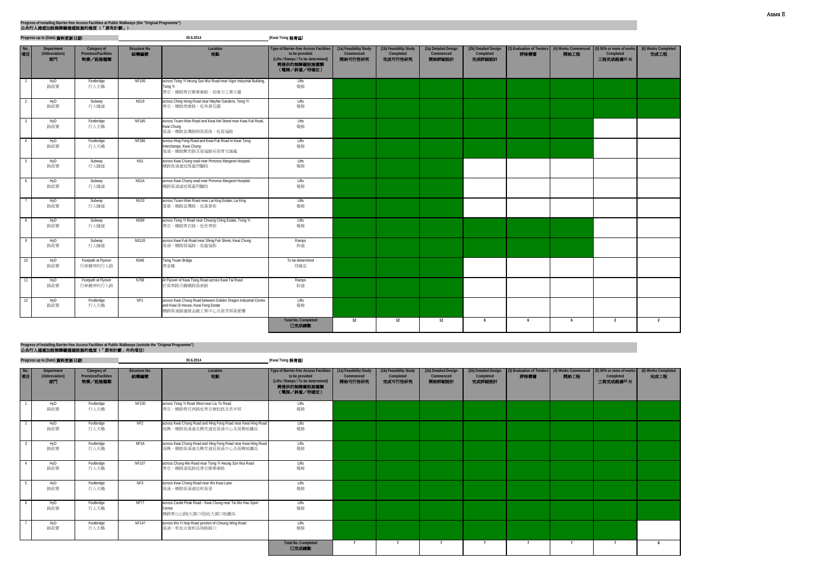|                          | Progress up to (Date) 資料更新日期:      |                                               |                              | 30.6.2014                                                                                                                     | (Kwai Tsing 葵青區)                                                                                                                    |                                                |                                                |                                             |                                             |      |      |                                                                                                  |                             |
|--------------------------|------------------------------------|-----------------------------------------------|------------------------------|-------------------------------------------------------------------------------------------------------------------------------|-------------------------------------------------------------------------------------------------------------------------------------|------------------------------------------------|------------------------------------------------|---------------------------------------------|---------------------------------------------|------|------|--------------------------------------------------------------------------------------------------|-----------------------------|
| No.<br>項目                | Department<br>(Abbreviation)<br>部門 | Category of<br>Premises/Facilities<br>物業/設施種類 | <b>Structure No.</b><br>結構編號 | Location<br>地點                                                                                                                | <b>Type of Barrier-free Access Facilities</b><br>to be provided<br>(Lifts / Ramps / To be determined)<br>將提供的無障礙設施種類<br>(電梯/斜道/待確定) | (1a) Feasibility Study<br>Commenced<br>開始可行性研究 | (1b) Feasibility Study<br>Completed<br>完成可行性研究 | (2a) Detailed Design<br>Commenced<br>開始詳細設計 | (2b) Detailed Design<br>Completed<br>完成詳細設計 | 評核標書 | 開始工程 | (3) Evaluation of Tenders (4) Works Commenced (5) 50% or more of works<br>Completed<br>工程完成超過50% | (6) Works Completed<br>完成工程 |
| $\overline{\phantom{a}}$ | HyD<br>路政署                         | Footbridge<br>行人天橋                            | <b>NF106</b>                 | across Tsing Yi Heung Sze Wui Road near Vigor Industrial Building,<br>Tsing Yi<br>青衣,横跨青衣鄉事會路,近偉力工業大廈                         | Lifts<br>電梯                                                                                                                         |                                                |                                                |                                             |                                             |      |      |                                                                                                  |                             |
| $\overline{2}$           | HyD<br>路政署                         | Subway<br>行人隧道                                | <b>NS19</b>                  | across Ching Hong Road near Mayfair Gardens, Tsing Yi<br>青衣,横跨青康路,近美景花園                                                       | Lifts<br>電梯                                                                                                                         |                                                |                                                |                                             |                                             |      |      |                                                                                                  |                             |
| $\overline{\mathbf{3}}$  | HyD<br>路政署                         | Footbridge<br>行人天橋                            | <b>NF185</b>                 | across Tsuen Wan Road and Kwai Hei Street near Kwai Fuk Road,<br>Kwai Chung<br>葵涌,横跨荃灣路與葵喜街,近葵福路                              | Lifts<br>電梯                                                                                                                         |                                                |                                                |                                             |                                             |      |      |                                                                                                  |                             |
| 4                        | HyD<br>路政署                         | Footbridge<br>行人天橋                            | <b>NF286</b>                 | across Hing Fong Road and Kwai Fuk Road to Kwai Tsing<br>Interchange, Kwai Chung<br>葵涌,横跨興芳路及葵福路至葵青交匯處                        | Lifts<br>電梯                                                                                                                         |                                                |                                                |                                             |                                             |      |      |                                                                                                  |                             |
| 5                        | HyD<br>路政署                         | Subway<br>行人隧道                                | NS1                          | across Kwai Chung road near Princess Margaret Hospital<br>横跨葵涌道折瑪嘉烈醫院                                                         | Lifts<br>電梯                                                                                                                         |                                                |                                                |                                             |                                             |      |      |                                                                                                  |                             |
| 6                        | HyD<br>路政署                         | Subway<br>行人隧道                                | NS1A                         | across Kwai Chung road near Princess Margaret Hospital<br>横跨葵涌道近瑪嘉烈醫院                                                         | Lifts<br>電梯                                                                                                                         |                                                |                                                |                                             |                                             |      |      |                                                                                                  |                             |
| $7\phantom{.0}$          | HyD<br>路政署                         | Subway<br>行人隧道                                | <b>NS10</b>                  | across Tsuen Wan Road near Lai King Estate, Lai King<br>荔景,横跨荃灣路,近荔景邨                                                         | Lifts<br>電梯                                                                                                                         |                                                |                                                |                                             |                                             |      |      |                                                                                                  |                             |
| $_{8}$                   | HyD<br>路政署                         | Subway<br>行人隧道                                | <b>NS89</b>                  | across Tsing Yi Road near Cheung Ching Estate, Tsing Yi<br>青衣,横跨青衣路,近長青邨                                                      | Lifts<br>電梯                                                                                                                         |                                                |                                                |                                             |                                             |      |      |                                                                                                  |                             |
| $\overline{9}$           | HyD<br>路政署                         | Subway<br>行人隧道                                | <b>NS126</b>                 | across Kwai Fuk Road near Shing Fuk Street, Kwai Chung<br>葵涌,横跨葵福路,近盛福街                                                       | Ramps<br>斜道                                                                                                                         |                                                |                                                |                                             |                                             |      |      |                                                                                                  |                             |
| 10                       | HyD<br>路政署                         | Footpath at Flyover<br>行車橋旁的行人路               | N546                         | <b>Tsing Tsuen Bridge</b><br>青荃橋                                                                                              | To be determined<br>待確定                                                                                                             |                                                |                                                |                                             |                                             |      |      |                                                                                                  |                             |
| $-11$                    | HyD<br>路政署                         | Footpath at Flyover<br>行車橋旁的行人路               | N798                         | At Flyover of Kwai Tsing Road across Kwai Tai Road<br>於葵青路天橋橫跨葵泰路                                                             | Ramps<br>斜道                                                                                                                         |                                                |                                                |                                             |                                             |      |      |                                                                                                  |                             |
| 12                       | HyD<br>路政署                         | Footbridge<br>行人天橋                            | NF <sub>1</sub>              | across Kwai Chung Road between Golden Dragon Industrial Centre<br>and Kwai Oi House, Kwai Fong Estate<br>横跨葵涌路連接金龍工業中心及葵芳邨葵愛樓 | Lifts<br>電梯                                                                                                                         |                                                |                                                |                                             |                                             |      |      |                                                                                                  |                             |
|                          |                                    |                                               |                              |                                                                                                                               | <b>Total No. Completed</b><br>已完成總數                                                                                                 | 12                                             | 12                                             | 12                                          | 6                                           | 6    | 6    | $\overline{2}$                                                                                   | $\overline{2}$              |

**Progress up to (Date)** 資料更新日期**: (Kwai Tsing** 葵青區**)**

| No.<br>項目 | Department<br>(Abbreviation)<br>部門 | Category of<br><b>Premises/Facilities</b><br>物業/設施種類 | Structure No.<br>結構編號 | Location<br>地點                                                                              | Type of Barrier-free Access Facilities<br>to be provided<br>(Lifts / Ramps / To be determined)<br>將提供的無障礙設施種類<br>(電梯/斜道/待確定) | (1a) Feasibility Study<br>Commenced<br>開始可行性研究 | (1b) Feasibility Study<br>Completed<br>完成可行性研究 | (2a) Detailed Design<br>Commenced<br>開始詳細設計 | (2b) Detailed Design<br>Completed<br>完成詳細設計 | 評核標書 | 開始工程 | (3) Evaluation of Tenders (4) Works Commenced (5) 50% or more of works<br>Completed<br>工程完成超過50% | (6) Works Completed<br>完成工程 |
|-----------|------------------------------------|------------------------------------------------------|-----------------------|---------------------------------------------------------------------------------------------|------------------------------------------------------------------------------------------------------------------------------|------------------------------------------------|------------------------------------------------|---------------------------------------------|---------------------------------------------|------|------|--------------------------------------------------------------------------------------------------|-----------------------------|
|           | HyD<br>路政署                         | Footbridge<br>行人天橋                                   | NF230                 | across Tsing Yi Road West near Liu To Road<br>青衣,横跨青衣西路近青衣寮肚路及長亨邨                           | Lifts<br>電梯                                                                                                                  |                                                |                                                |                                             |                                             |      |      |                                                                                                  |                             |
|           | HyD<br>路政署                         | Footbridge<br>行人天橋                                   | NF <sub>2</sub>       | across Kwai Chung Road and Hing Fong Road near Kwai Hing Road<br>葵興,橫跨葵涌道及興芳道近葵涌中心及葵興地鐵站    | Lifts<br>電梯                                                                                                                  |                                                |                                                |                                             |                                             |      |      |                                                                                                  |                             |
|           | HyD<br>路政署                         | Footbridge<br>行人天橋                                   | NF2A                  | across Kwai Chung Road and Hing Fong Road near Kwai Hing Road<br>葵興,橫跨葵涌道及興芳道近葵涌中心及葵興地鐵站    | Lifts<br>電梯                                                                                                                  |                                                |                                                |                                             |                                             |      |      |                                                                                                  |                             |
|           | HyD<br>路政署                         | Footbridge<br>行人天橋                                   | NF107                 | across Chung Mei Road near Tsing Yi Heung Sze Wui Road<br>青衣,横跨涌尾路近青衣鄉事會路                   | Lifts<br>電梯                                                                                                                  |                                                |                                                |                                             |                                             |      |      |                                                                                                  |                             |
|           | HyD<br>路政署                         | Footbridge<br>行人天橋                                   | NF3                   | across Kwai Chung Road near Wo Kwai Lane<br>葵涌,横跨葵涌道近和葵里                                    | Lifts<br>電梯                                                                                                                  |                                                |                                                |                                             |                                             |      |      |                                                                                                  |                             |
|           | HyD<br>路政署                         | Footbridge<br>行人天橋                                   | <b>NF77</b>           | across Castle Peak Road - Kwai Chung near Tai Wo Hau Sport<br>Centre<br>横跨青山公路(大窩口段)近大窩口地鐵站 | Lifts<br>電梯                                                                                                                  |                                                |                                                |                                             |                                             |      |      |                                                                                                  |                             |
|           | HyD<br>路政署                         | Footbridge<br>行人天橋                                   | <b>NF147</b>          | across Wo Yi Hop Road junction of Cheung Wing Road<br>葵涌,和宜合道和昌榮路路口                         | Lifts<br>電梯                                                                                                                  |                                                |                                                |                                             |                                             |      |      |                                                                                                  |                             |
|           |                                    |                                                      |                       |                                                                                             | <b>Total No. Completed</b><br>已完成總數                                                                                          |                                                |                                                |                                             |                                             |      |      |                                                                                                  | - 6                         |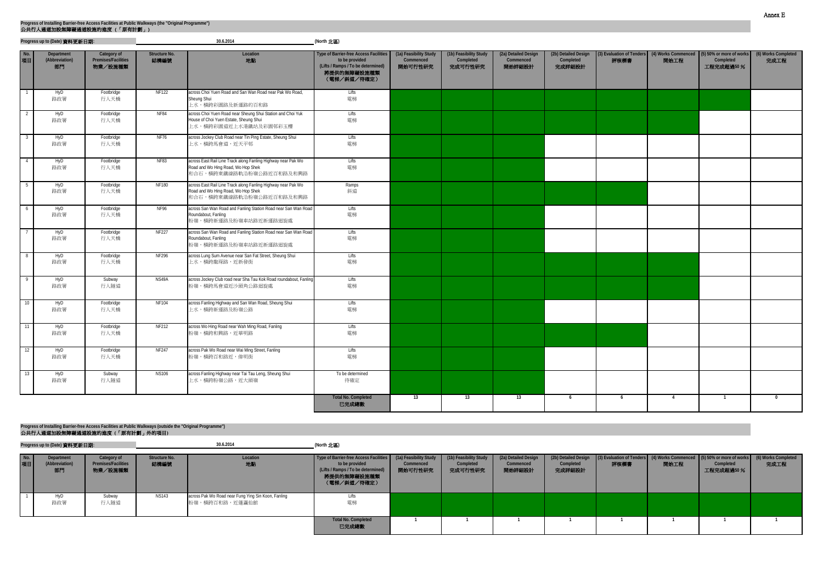**Progress up to (Date)** 資料更新日期**: (North** 北區**)**

1 HyD 路政署 Subway 行人隧道 NS143 **across Pak Wo Road near Fung Ying Sin Koon, Fanling** 粉嶺,橫跨百和路,近蓬瀛仙館 Lifts 電梯 **Total No. Completed** 已完成總數 **1 1 1 1 1 1 1 1 No.** 項目 **Department (Abbreviation)** 部門 **Category of Premises/Facilities** 物業/設施種類 **Structure No.** 結構編號 **Location** 地點 **Type of Barrier-free Access Facilities to be provided (Lifts / Ramps / To be determined)** 將提供的無障礙設施種類 (電梯/斜道/待確定) **(1a) Feasibility Study Commenced** 開始可行性研究 **(1b) Feasibility Study Completed** 完成可行性研究 **(2a) Detailed Design Commenced** 開始詳細設計 **(2b) Detailed Design Completed** 完成詳細設計 **(3) Evaluati** 評核

| No.<br>項目 | Department<br>(Abbreviation)<br>部門 | Category of<br>Premises/Facilities<br>物業/設施種類 | Structure No.<br>結構編號 | Location<br>地點                                                                                                                  | Type of Barrier-free Access Facilities<br>to be provided<br>(Lifts / Ramps / To be determined)<br>將提供的無障礙設施種類<br>(電梯/斜道/待確定) | (1a) Feasibility Study<br>Commenced<br>開始可行性研究 | (1b) Feasibility Study<br>Completed<br>完成可行性研究 | (2a) Detailed Design<br>Commenced<br>開始詳細設計 | (2b) Detailed Design<br>Completed<br>完成詳細設計 | 評核標書 | 開始工程           | (3) Evaluation of Tenders (4) Works Commenced (5) 50% or more of works<br>Completed<br>工程完成超過50% | (6) Works Completed<br>完成工程 |
|-----------|------------------------------------|-----------------------------------------------|-----------------------|---------------------------------------------------------------------------------------------------------------------------------|------------------------------------------------------------------------------------------------------------------------------|------------------------------------------------|------------------------------------------------|---------------------------------------------|---------------------------------------------|------|----------------|--------------------------------------------------------------------------------------------------|-----------------------------|
|           | HyD<br>路政署                         | Footbridge<br>行人天橋                            | <b>NF122</b>          | across Choi Yuen Road and San Wan Road near Pak Wo Road,<br>Sheung Shui<br>上水,横跨彩園路及新運路的百和路                                     | Lifts<br>電梯                                                                                                                  |                                                |                                                |                                             |                                             |      |                |                                                                                                  |                             |
| - 2       | HyD<br>路政署                         | Footbridge<br>行人天橋                            | <b>NF84</b>           | across Choi Yuen Road near Sheung Shui Station and Choi Yuk<br>House of Choi Yuen Estate, Sheung Shui<br>上水,横跨彩園道近上水港鐵站及彩園邨彩玉樓  | <b>Lifts</b><br>電梯                                                                                                           |                                                |                                                |                                             |                                             |      |                |                                                                                                  |                             |
|           | HyD<br>路政署                         | Footbridge<br>行人天橋                            | <b>NF76</b>           | across Jockey Club Road near Tin Ping Estate, Sheung Shui<br>上水,横跨馬會道,近天平邨                                                      | Lifts<br>電梯                                                                                                                  |                                                |                                                |                                             |                                             |      |                |                                                                                                  |                             |
|           | HyD<br>路政署                         | Footbridge<br>行人天橋                            | <b>NF83</b>           | across East Rail Line Track along Fanling Highway near Pak Wo<br>Road and Wo Hing Road, Wo Hop Shek<br>和合石,横跨東鐵線路軌沿粉嶺公路近百和路及和興路 | Lifts<br>電梯                                                                                                                  |                                                |                                                |                                             |                                             |      |                |                                                                                                  |                             |
|           | HyD<br>路政署                         | Footbridge<br>行人天橋                            | <b>NF180</b>          | across East Rail Line Track along Fanling Highway near Pak Wo<br>Road and Wo Hing Road, Wo Hop Shek<br>和合石,橫跨東鐵線路軌沿粉嶺公路近百和路及和興路 | Ramps<br>斜道                                                                                                                  |                                                |                                                |                                             |                                             |      |                |                                                                                                  |                             |
| 6         | HyD<br>路政署                         | Footbridge<br>行人天橋                            | <b>NF96</b>           | across San Wan Road and Fanling Station Road near San Wan Road<br>Roundabout, Fanling<br>粉嶺,横跨新運路及粉嶺車站路近新運路迴旋處                  | Lifts<br>電梯                                                                                                                  |                                                |                                                |                                             |                                             |      |                |                                                                                                  |                             |
|           | HyD<br>路政署                         | Footbridge<br>行人天橋                            | <b>NF227</b>          | across San Wan Road and Fanling Station Road near San Wan Road<br>Roundabout, Fanling<br>粉嶺,横跨新運路及粉嶺車站路近新運路迴旋處                  | Lifts<br>電梯                                                                                                                  |                                                |                                                |                                             |                                             |      |                |                                                                                                  |                             |
| - 8       | HyD<br>路政署                         | Footbridge<br>行人天橋                            | NF296                 | across Lung Sum Avenue near San Fat Street, Sheung Shui<br>上水,横跨龍琛路,近新發街                                                        | Lifts<br>電梯                                                                                                                  |                                                |                                                |                                             |                                             |      |                |                                                                                                  |                             |
| - 9       | HyD<br>路政署                         | Subway<br>行人隧道                                | NS49A                 | across Jockey Club road near Sha Tau Kok Road roundabout, Fanling<br>粉嶺,橫跨馬會道近沙頭角公路迴旋處                                          | Lifts<br>電梯                                                                                                                  |                                                |                                                |                                             |                                             |      |                |                                                                                                  |                             |
| 10        | HyD<br>路政署                         | Footbridge<br>行人天橋                            | <b>NF104</b>          | across Fanling Highway and San Wan Road, Sheung Shui<br>上水,横跨新運路及粉嶺公路                                                           | Lifts<br>電梯                                                                                                                  |                                                |                                                |                                             |                                             |      |                |                                                                                                  |                             |
|           | HyD<br>路政署                         | Footbridge<br>行人天橋                            | <b>NF212</b>          | across Wo Hing Road near Wah Ming Road, Fanling<br>粉嶺,橫跨和興路,近華明路                                                                | Lifts<br>電梯                                                                                                                  |                                                |                                                |                                             |                                             |      |                |                                                                                                  |                             |
| 12        | HyD<br>路政署                         | Footbridge<br>行人天橋                            | <b>NF247</b>          | across Pak Wo Road near Wai Ming Street, Fanling<br>粉嶺,橫跨百和路近,偉明街                                                               | Lifts<br>電梯                                                                                                                  |                                                |                                                |                                             |                                             |      |                |                                                                                                  |                             |
| 13        | HyD<br>路政署                         | Subway<br>行人隧道                                | <b>NS106</b>          | across Fanling Highway near Tai Tau Leng, Sheung Shui<br>上水,横跨粉嶺公路,近大頭嶺                                                         | To be determined<br>待確定                                                                                                      |                                                |                                                |                                             |                                             |      |                |                                                                                                  |                             |
|           |                                    |                                               |                       |                                                                                                                                 | <b>Total No. Completed</b><br>已完成總數                                                                                          | 13                                             | 13                                             | 13                                          | 6                                           | 6    | $\overline{4}$ | $\overline{1}$                                                                                   | $\overline{0}$              |

公共行人通道加設無障礙通道設施的進度 **(**「原有計劃」外的項目**)**

**Progress up to (Date)** 資料更新日期**: (North** 北區**)**

**30.6.2014**

## **Progress of Installing Barrier-free Access Facilities at Public Walkways (outside the "Original Programme")**

| n of Tenders<br>標書 | (4) Works Commenced<br>開始工程 | $(5)$ 50% or more of works<br>Completed<br>工程完成超過50% | (6) Works Completed<br>完成工程 |
|--------------------|-----------------------------|------------------------------------------------------|-----------------------------|
|                    |                             |                                                      |                             |
|                    |                             |                                                      |                             |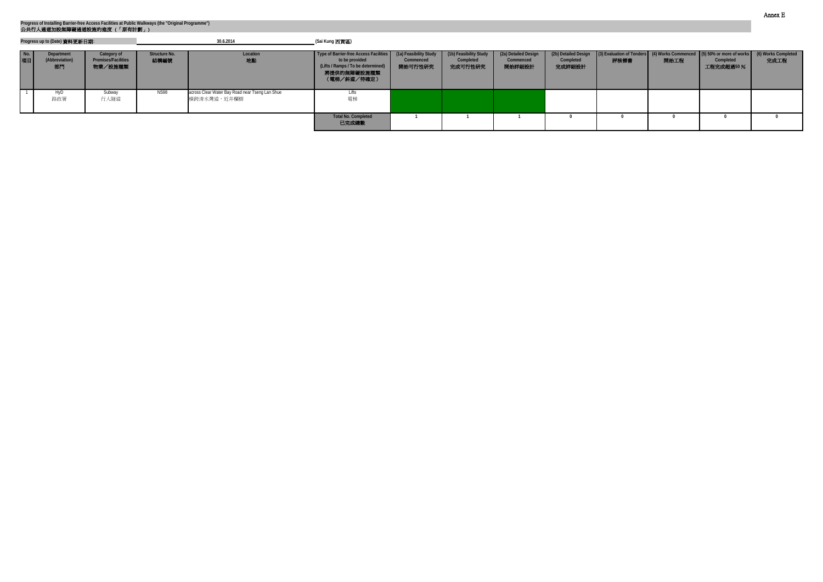|              | Progress up to (Date) 資料更新日期:      |                                                      |                       | 30.6.2014                                                       | (Sai Kung 西貢區)                                                                                                                 |                                                |                                                |                                             |                                             |      |      |                                                                                                                      |      |
|--------------|------------------------------------|------------------------------------------------------|-----------------------|-----------------------------------------------------------------|--------------------------------------------------------------------------------------------------------------------------------|------------------------------------------------|------------------------------------------------|---------------------------------------------|---------------------------------------------|------|------|----------------------------------------------------------------------------------------------------------------------|------|
| $N$ o.<br>項目 | Department<br>(Abbreviation)<br>部門 | Category of<br><b>Premises/Facilities</b><br>物業/設施種類 | Structure No.<br>結構編號 | Location<br>地點                                                  | Type of Barrier-free Access Facilities  <br>to be provided<br>(Lifts / Ramps / To be determined)<br>將提供的無障礙設施種類<br>(電梯/斜道/待確定) | (1a) Feasibility Study<br>Commenced<br>開始可行性研究 | (1b) Feasibility Study<br>Completed<br>完成可行性研究 | (2a) Detailed Design<br>Commenced<br>開始詳細設計 | (2b) Detailed Design<br>Completed<br>完成詳細設計 | 評核標書 | 開始工程 | (3) Evaluation of Tenders (4) Works Commenced (5) 50% or more of works (6) Works Completed<br>Completed<br>工程完成超過50% | 完成工程 |
|              | Hvl<br>路政署                         | Subway<br>行人隧道                                       | <b>NS98</b>           | across Clear Water Bay Road near Tseng Lan Shue<br> 横跨清水灣道,近井欄樹 | Lifts<br>電梯                                                                                                                    |                                                |                                                |                                             |                                             |      |      |                                                                                                                      |      |
|              |                                    |                                                      |                       |                                                                 | <b>Total No. Completed</b><br>已完成總數                                                                                            |                                                |                                                |                                             |                                             |      |      |                                                                                                                      |      |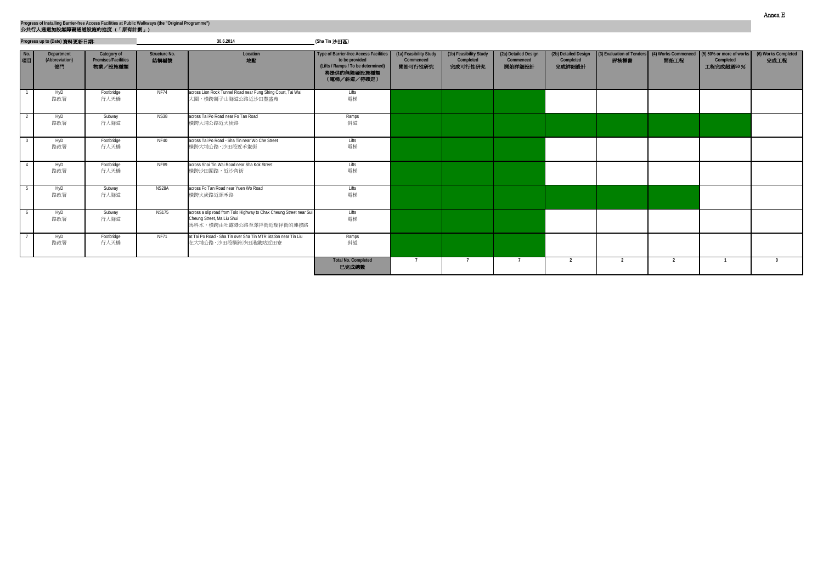|           | Progress up to (Date) 資料更新日期:<br>Category of<br>Department |                                | 30.6.2014                    |                                                                                                                               | (Sha Tin 沙田區)                                                                                                                       |                                                |                                                |                                             |                                             |                |                |                                                                                                 |                             |
|-----------|------------------------------------------------------------|--------------------------------|------------------------------|-------------------------------------------------------------------------------------------------------------------------------|-------------------------------------------------------------------------------------------------------------------------------------|------------------------------------------------|------------------------------------------------|---------------------------------------------|---------------------------------------------|----------------|----------------|-------------------------------------------------------------------------------------------------|-----------------------------|
| No.<br>項目 | (Abbreviation)<br>部門                                       | Premises/Facilities<br>物業/設施種類 | <b>Structure No.</b><br>結構編號 | Location<br>地點                                                                                                                | <b>Type of Barrier-free Access Facilities</b><br>to be provided<br>(Lifts / Ramps / To be determined)<br>將提供的無障礙設施種類<br>(電梯/斜道/待確定) | (1a) Feasibility Study<br>Commenced<br>開始可行性研究 | (1b) Feasibility Study<br>Completed<br>完成可行性研究 | (2a) Detailed Design<br>Commenced<br>開始詳細設計 | (2b) Detailed Design<br>Completed<br>完成詳細設計 | 評核標書           | 開始工程           | 3) Evaluation of Tenders (4) Works Commenced (5) 50% or more of works<br>Completed<br>工程完成超過50% | (6) Works Completed<br>完成工程 |
|           | HyD<br>路政署                                                 | Footbridge<br>行人天橋             | <b>NF74</b>                  | across Lion Rock Tunnel Road near Fung Shing Court, Tai Wai<br>大圍,橫跨獅子山隧道公路近沙田豐盛苑                                             | Lifts<br>電梯                                                                                                                         |                                                |                                                |                                             |                                             |                |                |                                                                                                 |                             |
|           | HyD<br>路政署                                                 | Subway<br>行人隧道                 | <b>NS38</b>                  | across Tai Po Road near Fo Tan Road<br>横跨大埔公路近火炭路                                                                             | Ramps<br>斜道                                                                                                                         |                                                |                                                |                                             |                                             |                |                |                                                                                                 |                             |
|           | HyD<br>路政署                                                 | Footbridge<br>行人天橋             | <b>NF40</b>                  | across Tai Po Road - Sha Tin near Wo Che Street<br>横跨大埔公路 - 沙田段近禾輋街                                                           | Lifts<br>電梯                                                                                                                         |                                                |                                                |                                             |                                             |                |                |                                                                                                 |                             |
|           | HyD<br>路政署                                                 | Footbridge<br>行人天橋             | <b>NF89</b>                  | across Shai Tin Wai Road near Sha Kok Street<br>横跨沙田圍路,近沙角街                                                                   | Lifts<br>電梯                                                                                                                         |                                                |                                                |                                             |                                             |                |                |                                                                                                 |                             |
|           | HyD<br>路政署                                                 | Subway<br>行人隧道                 | NS <sub>28</sub> A           | across Fo Tan Road near Yuen Wo Road<br>横跨火炭路近源禾路                                                                             | Lifts<br>電梯                                                                                                                         |                                                |                                                |                                             |                                             |                |                |                                                                                                 |                             |
|           | HyD<br>路政署                                                 | Subway<br>行人隧道                 | <b>NS175</b>                 | across a slip road from Tolo Highway to Chak Cheung Street near Sui<br>Cheung Street, Ma Liu Shui<br>馬料水,横跨由吐露港公路至澤祥街近瑞祥街的連接路 | Lifts<br>電梯                                                                                                                         |                                                |                                                |                                             |                                             |                |                |                                                                                                 |                             |
|           | HyD<br>路政署                                                 | Footbridge<br>行人天橋             | <b>NF71</b>                  | at Tai Po Road - Sha Tin over Sha Tin MTR Station near Tin Liu<br>在大埔公路 - 沙田段橫跨沙田港鐵站近田寮                                       | Ramps<br>斜道                                                                                                                         |                                                |                                                |                                             |                                             |                |                |                                                                                                 |                             |
|           |                                                            |                                |                              |                                                                                                                               | <b>Total No. Completed</b><br>已完成總數                                                                                                 |                                                |                                                | $\overline{ }$                              | $\overline{2}$                              | $\overline{2}$ | $\overline{2}$ |                                                                                                 | $\Omega$                    |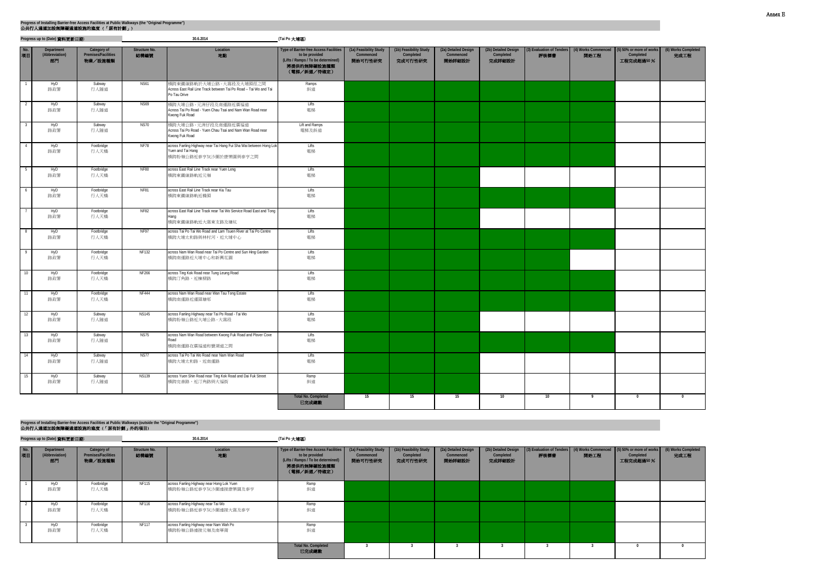|                           | Progress up to (Date) 資料更新日期:      |                                               |                       | 30.6.2014                                                                                                       | (Tai Po 大埔區)                                                                                                                 |                                                |                                                |                                             |                                             |      |      |                                                                                                      |                             |
|---------------------------|------------------------------------|-----------------------------------------------|-----------------------|-----------------------------------------------------------------------------------------------------------------|------------------------------------------------------------------------------------------------------------------------------|------------------------------------------------|------------------------------------------------|---------------------------------------------|---------------------------------------------|------|------|------------------------------------------------------------------------------------------------------|-----------------------------|
| No.<br>項目                 | Department<br>(Abbreviation)<br>部門 | Category of<br>Premises/Facilities<br>物業/設施種類 | Structure No.<br>結構編號 | Location<br>地點                                                                                                  | Type of Barrier-free Access Facilities<br>to be provided<br>(Lifts / Ramps / To be determined)<br>將提供的無障礙設施種類<br>(電梯/斜道/待確定) | (1a) Feasibility Study<br>Commenced<br>開始可行性研究 | (1b) Feasibility Study<br>Completed<br>完成可行性研究 | (2a) Detailed Design<br>Commenced<br>開始詳細設計 | (2b) Detailed Design<br>Completed<br>完成詳細設計 | 評核標書 | 開始工程 | (3) Evaluation of Tenders   (4) Works Commenced   (5) 50% or more of works<br>Completed<br>工程完成超過50% | (6) Works Completed<br>完成工程 |
| $\overline{\phantom{a}}$  | HyD<br>路政署                         | Subway<br>行人隧道                                | <b>NS61</b>           | 横跨東鐵線路軌於大埔公路 - 大窩段及大埔頭徑之間<br>Across East Rail Line Track between Tai Po Road - Tai Wo and Tai<br>Po Tau Drive   | Ramps<br>斜道                                                                                                                  |                                                |                                                |                                             |                                             |      |      |                                                                                                      |                             |
| $\overline{2}$            | HyD<br>路政署                         | Subway<br>行人隧道                                | <b>NS69</b>           | 横跨大埔公路 - 元洲仔段及南運路近廣福道<br>Across Tai Po Road - Yuen Chau Tsai and Nam Wan Road near<br>Kwong Fuk Road            | Lifts<br>電梯                                                                                                                  |                                                |                                                |                                             |                                             |      |      |                                                                                                      |                             |
| $\overline{\phantom{a}3}$ | HyD<br>路政署                         | Subway<br>行人隧道                                | <b>NS70</b>           | 横跨大埔公路 - 元洲仔段及南運路近廣福道<br>Across Tai Po Road - Yuen Chau Tsai and Nam Wan Road near<br>Kwong Fuk Road            | Lift and Ramps<br>電梯及斜道                                                                                                      |                                                |                                                |                                             |                                             |      |      |                                                                                                      |                             |
| $-4$                      | HyD<br>路政署                         | Footbridge<br>行人天橋                            | <b>NF78</b>           | across Fanling Highway near Tai Hang Fui Sha Wai between Hong Lok<br>Yuen and Tai Hang<br>横跨粉嶺公路近泰亨灰沙圍於康樂園與泰亨之間 | Lifts<br>電梯                                                                                                                  |                                                |                                                |                                             |                                             |      |      |                                                                                                      |                             |
| $-5$                      | HyD<br>路政署                         | Footbridge<br>行人天橋                            | <b>NF80</b>           | across East Rail Line Track near Yuen Leng<br>横跨東鐵線路軌近元嶺                                                        | Lifts<br>電梯                                                                                                                  |                                                |                                                |                                             |                                             |      |      |                                                                                                      |                             |
| $6\overline{6}$           | HyD<br>路政署                         | Footbridge<br>行人天橋                            | <b>NF81</b>           | across East Rail Line Track near Kiu Tau<br>横跨東鐵線路軌近橋頭                                                          | Lifts<br>電梯                                                                                                                  |                                                |                                                |                                             |                                             |      |      |                                                                                                      |                             |
| $\overline{7}$            | HyD<br>路政署                         | Footbridge<br>行人天橋                            | <b>NF82</b>           | across East Rail Line Track near Tai Wo Service Road East and Tong<br>Hang<br>横跨東鐵線路軌近大窩東支路及塘坑                  | Lifts<br>電梯                                                                                                                  |                                                |                                                |                                             |                                             |      |      |                                                                                                      |                             |
| $\overline{\phantom{0}}$  | HyD<br>路政署                         | Footbridge<br>行人天橋                            | <b>NF97</b>           | across Tai Po Tai Wo Road and Lam Tsuen River at Tai Po Centre<br>横跨大埔太和路與林村河,近大埔中心                             | Lifts<br>電梯                                                                                                                  |                                                |                                                |                                             |                                             |      |      |                                                                                                      |                             |
| $\overline{9}$            | HyD<br>路政署                         | Footbridge<br>行人天橋                            | <b>NF132</b>          | across Nam Wan Road near Tai Po Centre and Sun Hing Garden<br>横跨南運路近大埔中心和新興花園                                   | Lifts<br>電梯                                                                                                                  |                                                |                                                |                                             |                                             |      |      |                                                                                                      |                             |
| 10                        | HyD<br>路政署                         | Footbridge<br>行人天橋                            | <b>NF266</b>          | across Ting Kok Road near Tung Leung Road<br>横跨汀角路,近棟樑路                                                         | Lifts<br>電梯                                                                                                                  |                                                |                                                |                                             |                                             |      |      |                                                                                                      |                             |
| 11                        | HyD<br>路政署                         | Footbridge<br>行人天橋                            | <b>NF444</b>          | across Nam Wan Road near Wan Tau Tong Estate<br>横跨南運路近運頭塘邨                                                      | Lifts<br>電梯                                                                                                                  |                                                |                                                |                                             |                                             |      |      |                                                                                                      |                             |
| 12                        | HyD<br>路政署                         | Subway<br>行人隧道                                | <b>NS145</b>          | across Fanling Highway near Tai Po Road - Tai Wo<br>横跨粉嶺公路近大埔公路 - 大窩段                                           | Lifts<br>電梯                                                                                                                  |                                                |                                                |                                             |                                             |      |      |                                                                                                      |                             |
| 13                        | HyD<br>路政署                         | Subway<br>行人隧道                                | <b>NS75</b>           | across Nam Wan Road between Kwong Fuk Road and Plover Cove<br>Road<br>横跨南運路在廣福道和寶湖道之間                           | Lifts<br>電梯                                                                                                                  |                                                |                                                |                                             |                                             |      |      |                                                                                                      |                             |
| 14                        | HyD<br>路政署                         | Subway<br>行人隧道                                | <b>NS77</b>           | across Tai Po Tai Wo Road near Nam Wan Road<br>横跨大埔太和路,近南運路                                                     | Lifts<br>電梯                                                                                                                  |                                                |                                                |                                             |                                             |      |      |                                                                                                      |                             |
| 15                        | HyD<br>路政署                         | Subway<br>行人隧道                                | <b>NS139</b>          | across Yuen Shin Road near Ting Kok Road and Dai Fuk Street<br>横跨完善路,近汀角路與大福街                                   | Ramp<br>斜道                                                                                                                   |                                                |                                                |                                             |                                             |      |      |                                                                                                      |                             |
|                           |                                    |                                               |                       |                                                                                                                 | <b>Total No. Completed</b><br>已完成總數                                                                                          | 15                                             | 15                                             | 15                                          | 10                                          | 10   | 9    | $\mathbf 0$                                                                                          | $\mathbf{0}$                |

**Progress up to (Date)** 資料更新日期**: (Tai Po** 大埔區**) 30.6.2014**

| No.<br>項目 | Department<br>(Abbreviation)<br>部門 | Category of<br>Premises/Facilities<br>物業/設施種類 | Structure No.<br>結構編號 | Location<br>地點                                                    | Type of Barrier-free Access Facilities<br>to be provided<br>(Lifts / Ramps / To be determined)<br>將提供的無障礙設施種類<br>(電梯/斜道/待確定) | (1a) Feasibility Study<br>Commenced<br>開始可行性研究 | (1b) Feasibility Study<br>Completed<br>完成可行性研究 | (2a) Detailed Design<br>Commenced<br>開始詳細設計 | (2b) Detailed Design<br>Completed<br>完成詳細設計 | 評核標書 | 開始工程 | (3) Evaluation of Tenders (4) Works Commenced (5) 50% or more of works<br>Completed<br>工程完成超過50% | (6) Works Completed<br>完成工程 |
|-----------|------------------------------------|-----------------------------------------------|-----------------------|-------------------------------------------------------------------|------------------------------------------------------------------------------------------------------------------------------|------------------------------------------------|------------------------------------------------|---------------------------------------------|---------------------------------------------|------|------|--------------------------------------------------------------------------------------------------|-----------------------------|
|           | HyD<br>路政署                         | Footbridge<br>行人天橋                            | <b>NF115</b>          | across Fanling Highway near Hong Lok Yuen<br>横跨粉嶺公路近泰亨灰沙圍連接康樂園及泰亨 | Ramp<br>斜道                                                                                                                   |                                                |                                                |                                             |                                             |      |      |                                                                                                  |                             |
|           | HyD<br>路政署                         | Footbridge<br>行人天橋                            | <b>NF116</b>          | across Fanling Highway near Tai Wo<br>横跨粉嶺公路近泰亨灰沙圍連接大窩及泰亨         | Ramp<br>斜道                                                                                                                   |                                                |                                                |                                             |                                             |      |      |                                                                                                  |                             |
|           | HyD<br>路政署                         | Footbridge<br>行人天橋                            | <b>NF117</b>          | across Fanling Highway near Nam Wah Po<br>横跨粉嶺公路連接元嶺及南華莆          | Ramp<br>斜道                                                                                                                   |                                                |                                                |                                             |                                             |      |      |                                                                                                  |                             |
|           |                                    |                                               |                       |                                                                   | <b>Total No. Completed</b><br>已完成總數                                                                                          |                                                |                                                |                                             |                                             |      |      |                                                                                                  |                             |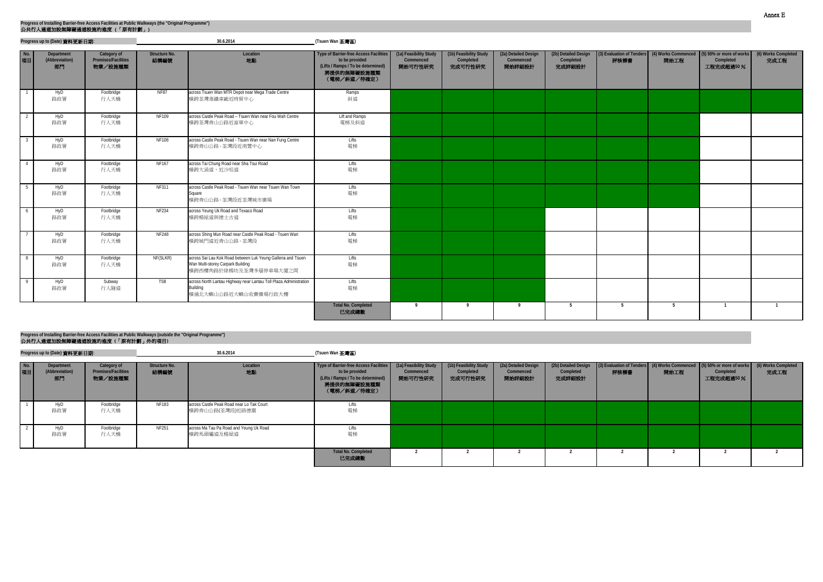|           | Progress up to (Date) 資料更新日期:      |                                               |                       | 30.6.2014                                                                                                                   | (Tsuen Wan 荃灣區)                                                                                                                     |                                                |                                                |                                             |                                             |      |      |                                                                                                  |                             |
|-----------|------------------------------------|-----------------------------------------------|-----------------------|-----------------------------------------------------------------------------------------------------------------------------|-------------------------------------------------------------------------------------------------------------------------------------|------------------------------------------------|------------------------------------------------|---------------------------------------------|---------------------------------------------|------|------|--------------------------------------------------------------------------------------------------|-----------------------------|
| No.<br>項目 | Department<br>(Abbreviation)<br>部門 | Category of<br>Premises/Facilities<br>物業/設施種類 | Structure No.<br>結構編號 | Location<br>地點                                                                                                              | <b>Type of Barrier-free Access Facilities</b><br>to be provided<br>(Lifts / Ramps / To be determined)<br>將提供的無障礙設施種類<br>(電梯/斜道/待確定) | (1a) Feasibility Study<br>Commenced<br>開始可行性研究 | (1b) Feasibility Study<br>Completed<br>完成可行性研究 | (2a) Detailed Design<br>Commenced<br>開始詳細設計 | (2b) Detailed Design<br>Completed<br>完成詳細設計 | 評核標書 | 開始工程 | (3) Evaluation of Tenders (4) Works Commenced (5) 50% or more of works<br>Completed<br>工程完成超過50% | (6) Works Completed<br>完成工程 |
|           | HyD<br>路政署                         | Footbridge<br>行人天橋                            | <b>NF87</b>           | across Tsuen Wan MTR Depot near Mega Trade Centre<br>横跨荃灣港鐵車廠近時貿中心                                                          | Ramps<br>斜道                                                                                                                         |                                                |                                                |                                             |                                             |      |      |                                                                                                  |                             |
|           | HyD<br>路政署                         | Footbridge<br>行人天橋                            | <b>NF109</b>          | across Castle Peak Road - Tsuen Wan near Fou Wah Centre<br>横跨荃灣青山公路近富華中心                                                    | Lift and Ramps<br>電梯及斜道                                                                                                             |                                                |                                                |                                             |                                             |      |      |                                                                                                  |                             |
|           | HyD<br>路政署                         | Footbridge<br>行人天橋                            | <b>NF108</b>          | across Castle Peak Road - Tsuen Wan near Nan Fung Centre<br>横跨青山公路 - 荃灣段近南豐中心                                               | Lifts<br>電梯                                                                                                                         |                                                |                                                |                                             |                                             |      |      |                                                                                                  |                             |
|           | HyD<br>路政署                         | Footbridge<br>行人天橋                            | <b>NF167</b>          | across Tai Chung Road near Sha Tsui Road<br>横跨大涌道,近沙咀道                                                                      | Lifts<br>電梯                                                                                                                         |                                                |                                                |                                             |                                             |      |      |                                                                                                  |                             |
|           | HyD<br>路政署                         | Footbridge<br>行人天橋                            | <b>NF311</b>          | across Castle Peak Road - Tsuen Wan near Tsuen Wan Town<br>Square<br>横跨青山公路 - 荃灣段近荃灣城市廣場                                    | Lifts<br>電梯                                                                                                                         |                                                |                                                |                                             |                                             |      |      |                                                                                                  |                             |
| 6         | HyD<br>路政署                         | Footbridge<br>行人天橋                            | <b>NF234</b>          | across Yeung Uk Road and Texaco Road<br>横跨楊屋道與德士古道                                                                          | Lifts<br>電梯                                                                                                                         |                                                |                                                |                                             |                                             |      |      |                                                                                                  |                             |
|           | HyD<br>路政署                         | Footbridge<br>行人天橋                            | <b>NF248</b>          | across Shing Mun Road near Castle Peak Road - Tsuen Wan<br>横跨城門道近青山公路 - 荃灣段                                                 | <b>Lifts</b><br>電梯                                                                                                                  |                                                |                                                |                                             |                                             |      |      |                                                                                                  |                             |
|           | HyD<br>路政署                         | Footbridge<br>行人天橋                            | NF(SLKR)              | across Sai Lau Kok Road between Luk Yeung Galleria and Tsuen<br>Wan Multi-storey Carpark Building<br>橫跨西樓角路於綠楊坊及荃灣多層停車場大廈之間 | <b>Lifts</b><br>電梯                                                                                                                  |                                                |                                                |                                             |                                             |      |      |                                                                                                  |                             |
|           | HyD<br>路政署                         | Subway<br>行人隧道                                | TS8                   | across North Lantau Highway near Lantau Toll Plaza Administration<br>Building<br>横過北大嶼山公路近大嶼山收費廣場行政大樓                       | Lifts<br>電梯                                                                                                                         |                                                |                                                |                                             |                                             |      |      |                                                                                                  |                             |
|           |                                    |                                               |                       |                                                                                                                             | <b>Total No. Completed</b><br>已完成總數                                                                                                 | $\mathbf Q$                                    |                                                | $\mathbf Q$                                 | 5                                           | 5    | 5    |                                                                                                  |                             |

|           | Progress up to (Date) 資料更新日期:      |                                                      |                       | 30.6.2014                                                    | (Tsuen Wan 荃灣區)                                                                                                                                     |                      |                                                |                                             |                                             |                                                                                |      |                        |                             |
|-----------|------------------------------------|------------------------------------------------------|-----------------------|--------------------------------------------------------------|-----------------------------------------------------------------------------------------------------------------------------------------------------|----------------------|------------------------------------------------|---------------------------------------------|---------------------------------------------|--------------------------------------------------------------------------------|------|------------------------|-----------------------------|
| No.<br>項目 | Department<br>(Abbreviation)<br>部門 | Category of<br><b>Premises/Facilities</b><br>物業/設施種類 | Structure No.<br>結構編號 | Location<br>地點                                               | Type of Barrier-free Access Facilities (1a) Feasibility Study<br>to be provided<br>(Lifts / Ramps / To be determined)<br>將提供的無障礙設施種類<br>(電梯/斜道/待確定) | Commenced<br>開始可行性研究 | (1b) Feasibility Study<br>Completed<br>完成可行性研究 | (2a) Detailed Design<br>Commenced<br>開始詳細設計 | (2b) Detailed Design<br>Completed<br>完成詳細設計 | (3) Evaluation of Tenders (4) Works Commenced (5) 50% or more of works<br>評核標書 | 開始工程 | Completed<br>工程完成超過50% | (6) Works Completed<br>完成工程 |
|           | HyD<br>路政署                         | Footbridge<br>行人天橋                                   | <b>NF183</b>          | across Castle Peak Road near Lo Tak Court<br>横跨青山公路(荃灣段)近路德圍 | Lifts<br>電梯                                                                                                                                         |                      |                                                |                                             |                                             |                                                                                |      |                        |                             |
|           | HyD<br>路政署                         | Footbridge<br>行人天橋                                   | NF251                 | across Ma Tau Pa Road and Yeung Uk Road<br>横跨馬頭壩道及楊屋道        | Lifts<br>電梯                                                                                                                                         |                      |                                                |                                             |                                             |                                                                                |      |                        |                             |
|           |                                    |                                                      |                       |                                                              | <b>Total No. Completed</b><br>已完成總數                                                                                                                 |                      |                                                |                                             |                                             |                                                                                |      |                        |                             |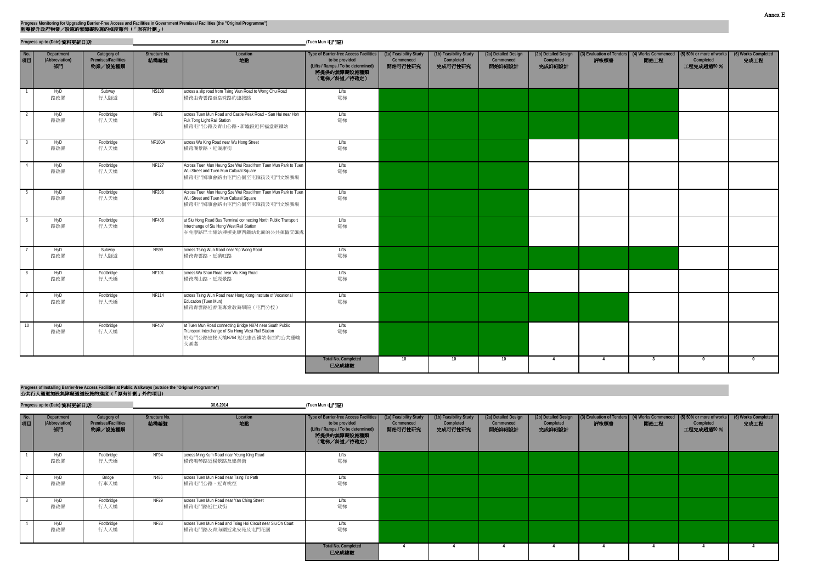**Progress up to (Date)** 資料更新日期**: (Tuen Mun** 屯門區**)**

| No.<br>項目      | Department<br>(Abbreviation)<br>部門 | Category of<br>Premises/Facilities<br>物業/設施種類 | Structure No.<br>結構編號 | Location<br>地點                                                                                                                                         | Type of Barrier-free Access Facilities<br>to be provided<br>(Lifts / Ramps / To be determined)<br>將提供的無障礙設施種類<br>(電梯/斜道/待確定) | (1a) Feasibility Study<br>Commenced<br>開始可行性研究 | (1b) Feasibility Study<br>Completed<br>完成可行性研究 | (2a) Detailed Design<br>Commenced<br>開始詳細設計 | (2b) Detailed Design<br>Completed<br>完成詳細設計 | 評核標書           | 開始工程                    | (3) Evaluation of Tenders (4) Works Commenced (5) 50% or more of works<br>Completed<br>工程完成超過50% | (6) Works Completed<br>完成工程 |
|----------------|------------------------------------|-----------------------------------------------|-----------------------|--------------------------------------------------------------------------------------------------------------------------------------------------------|------------------------------------------------------------------------------------------------------------------------------|------------------------------------------------|------------------------------------------------|---------------------------------------------|---------------------------------------------|----------------|-------------------------|--------------------------------------------------------------------------------------------------|-----------------------------|
|                | HyD<br>路政署                         | Subway<br>行人隧道                                | <b>NS108</b>          | across a slip road from Tsing Wun Road to Wong Chu Road<br>横跨由青雲路至皇珠路的連接路                                                                              | Lifts<br>電梯                                                                                                                  |                                                |                                                |                                             |                                             |                |                         |                                                                                                  |                             |
|                | HyD<br>路政署                         | Footbridge<br>行人天橋                            | NF31                  | across Tuen Mun Road and Castle Peak Road - San Hui near Hoh<br>Fuk Tong Light Rail Station<br>横跨屯門公路及青山公路 - 新墟段近何福堂輕鐵站                                | Lifts<br>電梯                                                                                                                  |                                                |                                                |                                             |                                             |                |                         |                                                                                                  |                             |
| -3             | HyD<br>路政署                         | Footbridge<br>行人天橋                            | <b>NF100A</b>         | across Wu King Road near Wu Hong Street<br>横跨湖景路,近湖康街                                                                                                  | Lifts<br>電梯                                                                                                                  |                                                |                                                |                                             |                                             |                |                         |                                                                                                  |                             |
| $\overline{4}$ | HyD<br>路政署                         | Footbridge<br>行人天橋                            | <b>NF127</b>          | Across Tuen Mun Heung Sze Wui Road from Tuen Mun Park to Tuen<br>Wui Street and Tuen Mun Cultural Square<br>横跨屯門鄉事會路由屯門公園至屯匯街及屯門文娛廣場                   | Lifts<br>電梯                                                                                                                  |                                                |                                                |                                             |                                             |                |                         |                                                                                                  |                             |
| - 5            | HyD<br>路政署                         | Footbridge<br>行人天橋                            | <b>NF206</b>          | Across Tuen Mun Heung Sze Wui Road from Tuen Mun Park to Tuen<br>Wui Street and Tuen Mun Cultural Square<br>横跨屯門鄉事會路由屯門公園至屯匯街及屯門文娛廣場                   | Lifts<br>電梯                                                                                                                  |                                                |                                                |                                             |                                             |                |                         |                                                                                                  |                             |
| - 6            | HyD<br>路政署                         | Footbridge<br>行人天橋                            | NF406                 | at Siu Hong Road Bus Terminal connecting North Public Transport<br>Interchange of Siu Hong West Rail Station<br>在兆康路巴士總站連接兆康西鐵站北面的公共運輸交匯處              | Lifts<br>電梯                                                                                                                  |                                                |                                                |                                             |                                             |                |                         |                                                                                                  |                             |
|                | HyD<br>路政署                         | Subway<br>行人隧道                                | <b>NS99</b>           | across Tsing Wun Road near Yip Wong Road<br>横跨青雲路,近業旺路                                                                                                 | Lifts<br>電梯                                                                                                                  |                                                |                                                |                                             |                                             |                |                         |                                                                                                  |                             |
| - 8            | HyD<br>路政署                         | Footbridge<br>行人天橋                            | NF101                 | across Wu Shan Road near Wu King Road<br>横跨湖山路,近湖景路                                                                                                    | Lifts<br>電梯                                                                                                                  |                                                |                                                |                                             |                                             |                |                         |                                                                                                  |                             |
| $\mathsf{Q}$   | HyD<br>路政署                         | Footbridge<br>行人天橋                            | <b>NF114</b>          | across Tsing Wun Road near Hong Kong Institute of Vocational<br>Education (Tuen Mun)<br>横跨青雲路近香港專業教育學院 (屯門分校)                                          | Lifts<br>電梯                                                                                                                  |                                                |                                                |                                             |                                             |                |                         |                                                                                                  |                             |
| 1 <sup>1</sup> | HyD<br>路政署                         | Footbridge<br>行人天橋                            | NF407                 | at Tuen Mun Road connecting Bridge N874 near South Public<br>Transport Interchange of Siu Hong West Rail Station<br>於屯門公路連接天橋N784 近兆康西鐵站南面的公共運輸<br>交匯處 | Lifts<br>電梯                                                                                                                  |                                                |                                                |                                             |                                             |                |                         |                                                                                                  |                             |
|                |                                    |                                               |                       |                                                                                                                                                        | <b>Total No. Completed</b><br>已完成總數                                                                                          | 10                                             | 10 <sup>1</sup>                                | 10                                          | $\overline{4}$                              | $\overline{4}$ | $\overline{\mathbf{3}}$ | $\mathbf 0$                                                                                      | $\mathbf{0}$                |

#### 公共行人通道加設無障礙通道設施的進度 **(**「原有計劃」外的項目**) Progress of Installing Barrier-free Access Facilities at Public Walkways (outside the "Original Programme")**

|  | 公夹行人通道加設無障礙通道設施的進度 ( 原月計劃 ) 外的項目) |  |  |
|--|-----------------------------------|--|--|
|  |                                   |  |  |

|           | Progress up to (Date) 資料更新日期:<br>Category of<br>Department |                                | 30.6.2014             |                                                                                    | (Tuen Mun 屯門區)                                                                                                                                        |                      |                                                |                                             |                                             |      |      |                                                                                                                      |      |
|-----------|------------------------------------------------------------|--------------------------------|-----------------------|------------------------------------------------------------------------------------|-------------------------------------------------------------------------------------------------------------------------------------------------------|----------------------|------------------------------------------------|---------------------------------------------|---------------------------------------------|------|------|----------------------------------------------------------------------------------------------------------------------|------|
| No.<br>項目 | (Abbreviation)<br>部門                                       | Premises/Facilities<br>物業/設施種類 | Structure No.<br>結構編號 | Location<br>地點                                                                     | Type of Barrier-free Access Facilities   (1a) Feasibility Study<br>to be provided<br>(Lifts / Ramps / To be determined)<br>將提供的無障礙設施種類<br>(電梯/斜道/待確定) | Commenced<br>開始可行性研究 | (1b) Feasibility Study<br>Completed<br>完成可行性研究 | (2a) Detailed Design<br>Commenced<br>開始詳細設計 | (2b) Detailed Design<br>Completed<br>完成詳細設計 | 評核標書 | 開始工程 | (3) Evaluation of Tenders (4) Works Commenced (5) 50% or more of works (6) Works Completed<br>Completed<br>工程完成超過50% | 完成工程 |
|           | HyD<br>路政署                                                 | Footbridge<br>行人天橋             | NF94                  | across Ming Kum Road near Yeung King Road<br>横跨鳴琴路近楊景路及建榮街                         | Lifts<br>電梯                                                                                                                                           |                      |                                                |                                             |                                             |      |      |                                                                                                                      |      |
|           | HyD<br>路政署                                                 | Bridge<br>行車天橋                 | N486                  | across Tuen Mun Road near Tsing To Path<br>横跨屯門公路,近青桃徑                             | Lifts<br>電梯                                                                                                                                           |                      |                                                |                                             |                                             |      |      |                                                                                                                      |      |
|           | <b>HyD</b><br>路政署                                          | Footbridge<br>行人天橋             | <b>NF29</b>           | across Tuen Mun Road near Yan Ching Street<br>横跨屯門路近仁政街                            | Lifts<br>電梯                                                                                                                                           |                      |                                                |                                             |                                             |      |      |                                                                                                                      |      |
|           | HyD<br>路政署                                                 | Footbridge<br>行人天橋             | <b>NF33</b>           | across Tuen Mun Road and Tsing Hoi Circuit near Siu On Court<br>横跨屯門路及青海圍近兆安苑及屯門花園 | Lifts<br>電梯                                                                                                                                           |                      |                                                |                                             |                                             |      |      |                                                                                                                      |      |
|           |                                                            |                                |                       |                                                                                    | <b>Total No. Completed</b><br>已完成總數                                                                                                                   |                      |                                                |                                             |                                             |      |      |                                                                                                                      |      |